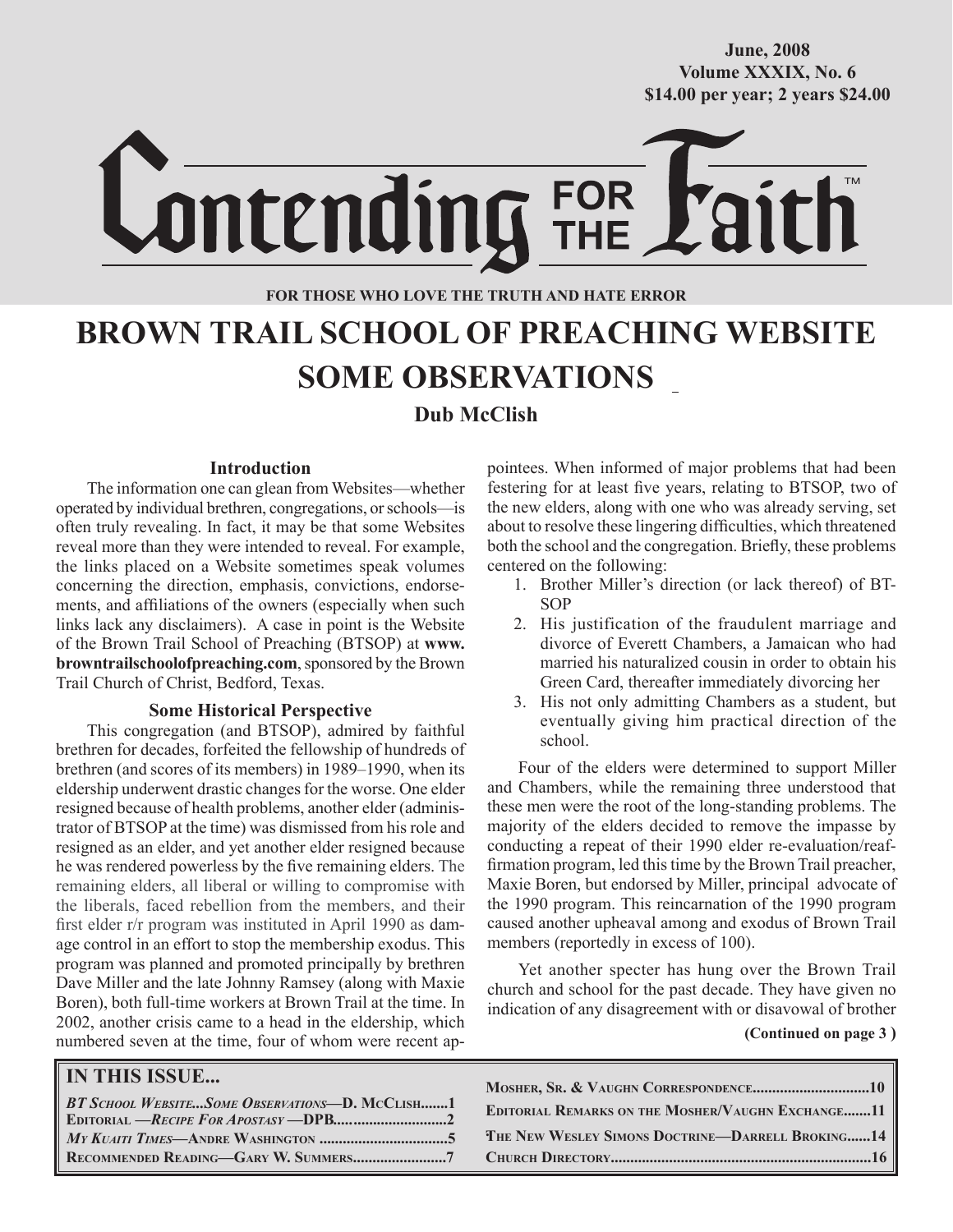**October/2007 Volume XXXIX, No. 6 Volume XXXVIII, No. 10 \$14.00 per year; 2 years \$24.00 \$14.00 per year; 2 years \$24.00 June, 2008**

Lontending FOR

## **FOR THOSE WHO LOVE THE TRUTH AND HATE ERROR**

# **BROWN TRAIL SCHOOL OF PREACHING WEBSITE SOME OBSERVATIONS**

# **Dub McClish**

#### **Introduction**

The information one can glean from Websites—whether operated by individual brethren, congregations, or schools—is often truly revealing. In fact, it may be that some Websites reveal more than they were intended to reveal. For example, the links placed on a Website sometimes speak volumes concerning the direction, emphasis, convictions, endorsements, and affiliations of the owners (especially when such links lack any disclaimers). A case in point is the Website of the Brown Trail School of Preaching (BTSOP) at **www. browntrailschoolofpreaching.com**, sponsored by the Brown Trail Church of Christ, Bedford, Texas.

#### **Some Historical Perspective**

This congregation (and BTSOP), admired by faithful brethren for decades, forfeited the fellowship of hundreds of brethren (and scores of its members) in 1989–1990, when its eldership underwent drastic changes for the worse. One elder resigned because of health problems, another elder (administrator of BTSOP at the time) was dismissed from his role and resigned as an elder, and yet another elder resigned because he was rendered powerless by the five remaining elders. The remaining elders, all liberal or willing to compromise with the liberals, faced rebellion from the members, and their first elder r/r program was instituted in April 1990 as damage control in an effort to stop the membership exodus. This program was planned and promoted principally by brethren Dave Miller and the late Johnny Ramsey (along with Maxie Boren), both full-time workers at Brown Trail at the time. In 2002, another crisis came to a head in the eldership, which numbered seven at the time, four of whom were recent appointees. When informed of major problems that had been festering for at least five years, relating to BTSOP, two of the new elders, along with one who was already serving, set about to resolve these lingering difficulties, which threatened both the school and the congregation. Briefly, these problems centered on the following:

- 1. Brother Miller's direction (or lack thereof) of BT-SOP
- 2. His justification of the fraudulent marriage and divorce of Everett Chambers, a Jamaican who had married his naturalized cousin in order to obtain his Green Card, thereafter immediately divorcing her
- 3. His not only admitting Chambers as a student, but eventually giving him practical direction of the school.

Four of the elders were determined to support Miller and Chambers, while the remaining three understood that these men were the root of the long-standing problems. The majority of the elders decided to remove the impasse by conducting a repeat of their 1990 elder re-evaluation/reaffirmation program, led this time by the Brown Trail preacher, Maxie Boren, but endorsed by Miller, principal advocate of the 1990 program. This reincarnation of the 1990 program caused another upheaval among and exodus of Brown Trail members (reportedly in excess of 100).

Yet another specter has hung over the Brown Trail church and school for the past decade. They have given no indication of any disagreement with or disavowal of brother

 **(Continued on page 3 )**

| <b>IN THIS ISSUE</b>                           |                                                          |
|------------------------------------------------|----------------------------------------------------------|
| BT SCHOOL WEBSITESOME OBSERVATIONS-D. MCCLISH1 | <b>EDITORIAL REMARKS ON THE MOSHER/VAUGHN EXCHANGE11</b> |
|                                                | <b>THE NEW WESLEY SIMONS DOCTRINE-DARRELL BROKING14</b>  |
|                                                |                                                          |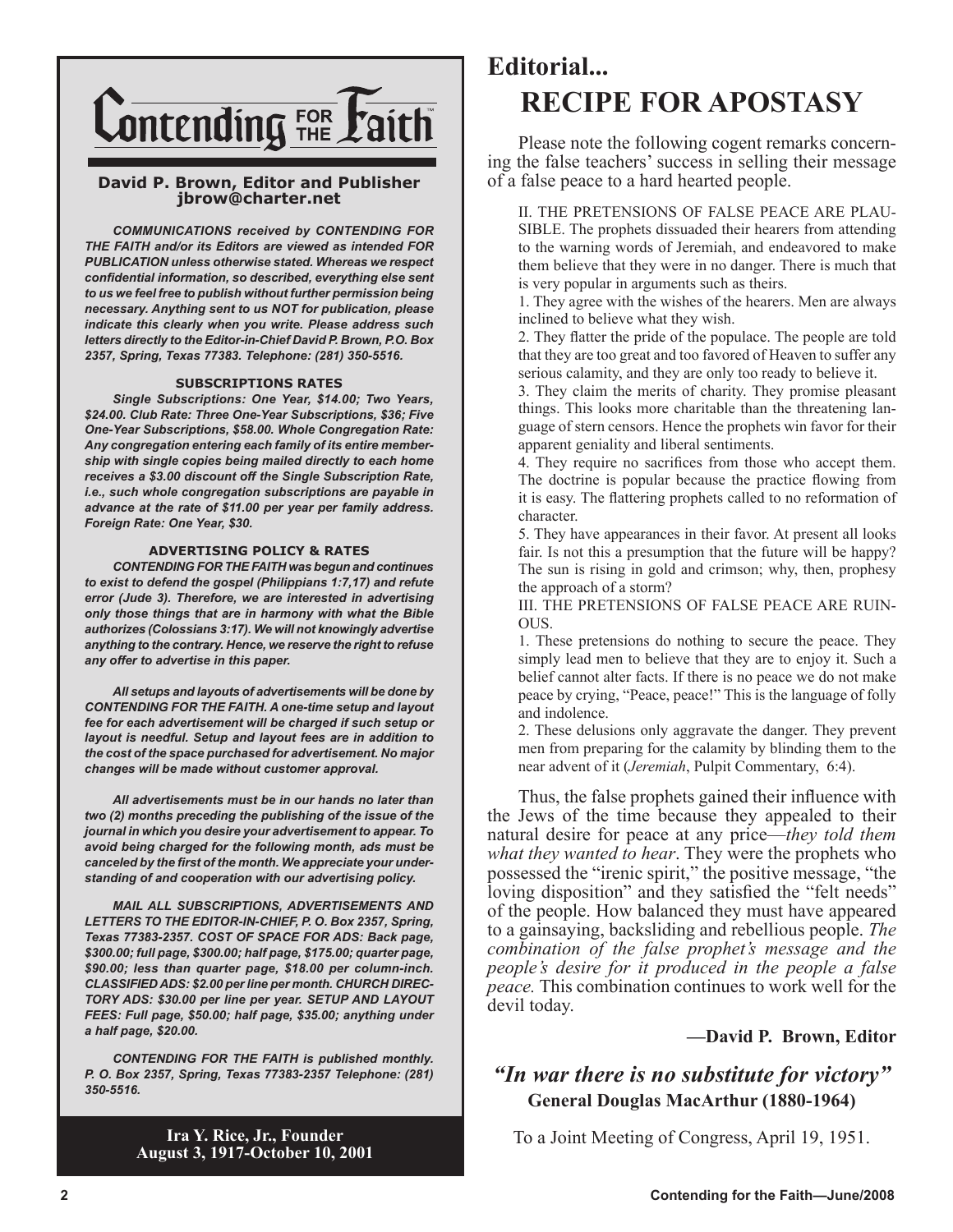

#### **David P. Brown, Editor and Publisher jbrow@charter.net**

*COMMUNICATIONS received by CONTENDING FOR THE FAITH and/or its Editors are viewed as intended FOR PUBLICATION unless otherwise stated. Whereas we respect confidential information, so described, everything else sent to us we feel free to publish without further permission being necessary. Anything sent to us NOT for publication, please indicate this clearly when you write. Please address such letters directly to the Editor-in-Chief David P. Brown, P.O. Box 2357, Spring, Texas 77383. Telephone: (281) 350-5516.*

#### **SUBSCRIPTIONS RATES**

*Single Subscriptions: One Year, \$14.00; Two Years, \$24.00. Club Rate: Three One-Year Subscriptions, \$36; Five One-Year Subscriptions, \$58.00. Whole Congregation Rate: Any congregation entering each family of its entire membership with single copies being mailed directly to each home receives a \$3.00 discount off the Single Subscription Rate, i.e., such whole congregation subscriptions are payable in advance at the rate of \$11.00 per year per family address. Foreign Rate: One Year, \$30.*

#### **ADVERTISING POLICY & RATES**

*CONTENDING FOR THE FAITH was begun and continues to exist to defend the gospel (Philippians 1:7,17) and refute error (Jude 3). Therefore, we are interested in advertising only those things that are in harmony with what the Bible authorizes (Colossians 3:17). We will not knowingly advertise anything to the contrary. Hence, we reserve the right to refuse any offer to advertise in this paper.*

*All setups and layouts of advertisements will be done by CONTENDING FOR THE FAITH. A one-time setup and layout fee for each advertisement will be charged if such setup or layout is needful. Setup and layout fees are in addition to the cost of the space purchased for advertisement. No major changes will be made without customer approval.*

*All advertisements must be in our hands no later than two (2) months preceding the publishing of the issue of the journal in which you desire your advertisement to appear. To avoid being charged for the following month, ads must be canceled by the first of the month. We appreciate your understanding of and cooperation with our advertising policy.*

*MAIL ALL SUBSCRIPTIONS, ADVERTISEMENTS AND LETTERS TO THE EDITOR-IN-CHIEF, P. O. Box 2357, Spring, Texas 77383-2357. COST OF SPACE FOR ADS: Back page, \$300.00; full page, \$300.00; half page, \$175.00; quarter page, \$90.00; less than quarter page, \$18.00 per column-inch. CLASSIFIED ADS: \$2.00 per line per month. CHURCH DIREC-TORY ADS: \$30.00 per line per year. SETUP AND LAYOUT FEES: Full page, \$50.00; half page, \$35.00; anything under a half page, \$20.00.*

*CONTENDING FOR THE FAITH is published monthly. P. O. Box 2357, Spring, Texas 77383-2357 Telephone: (281) 350-5516.*

**Editorial... RECIPE FOR APOSTASY**

Please note the following cogent remarks concerning the false teachers' success in selling their message of a false peace to a hard hearted people.

II. THE PRETENSIONS OF FALSE PEACE ARE PLAU-SIBLE. The prophets dissuaded their hearers from attending to the warning words of Jeremiah, and endeavored to make them believe that they were in no danger. There is much that is very popular in arguments such as theirs.

1. They agree with the wishes of the hearers. Men are always inclined to believe what they wish.

2. They flatter the pride of the populace. The people are told that they are too great and too favored of Heaven to suffer any serious calamity, and they are only too ready to believe it.

3. They claim the merits of charity. They promise pleasant things. This looks more charitable than the threatening language of stern censors. Hence the prophets win favor for their apparent geniality and liberal sentiments.

4. They require no sacrifices from those who accept them. The doctrine is popular because the practice flowing from it is easy. The flattering prophets called to no reformation of character.

5. They have appearances in their favor. At present all looks fair. Is not this a presumption that the future will be happy? The sun is rising in gold and crimson; why, then, prophesy the approach of a storm?

III. THE PRETENSIONS OF FALSE PEACE ARE RUIN-OUS.

1. These pretensions do nothing to secure the peace. They simply lead men to believe that they are to enjoy it. Such a belief cannot alter facts. If there is no peace we do not make peace by crying, "Peace, peace!" This is the language of folly and indolence.

2. These delusions only aggravate the danger. They prevent men from preparing for the calamity by blinding them to the near advent of it (*Jeremiah*, Pulpit Commentary, 6:4).

Thus, the false prophets gained their influence with the Jews of the time because they appealed to their natural desire for peace at any price—*they told them what they wanted to hear*. They were the prophets who possessed the "irenic spirit," the positive message, "the loving disposition" and they satisfied the "felt needs" of the people. How balanced they must have appeared to a gainsaying, backsliding and rebellious people. *The combination of the false prophet's message and the people's desire for it produced in the people a false peace.* This combination continues to work well for the devil today.

### **—David P. Brown, Editor**

# *"In war there is no substitute for victory"* **General Douglas MacArthur (1880-1964)**

To a Joint Meeting of Congress, April 19, 1951.

**Ira Y. Rice, Jr., Founder August 3, 1917-October 10, 2001**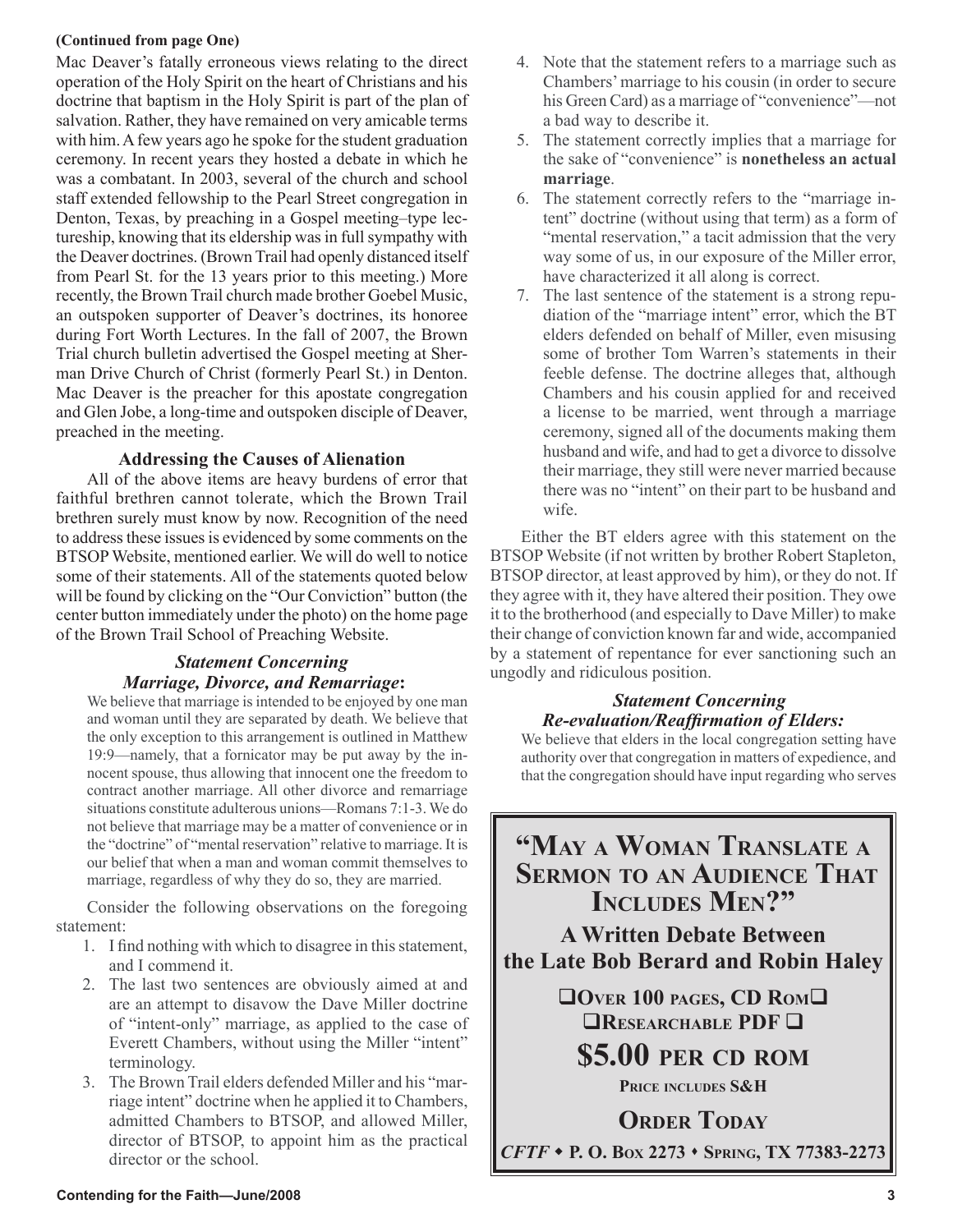#### **(Continued from page One)**

Mac Deaver's fatally erroneous views relating to the direct operation of the Holy Spirit on the heart of Christians and his doctrine that baptism in the Holy Spirit is part of the plan of salvation. Rather, they have remained on very amicable terms with him. A few years ago he spoke for the student graduation ceremony. In recent years they hosted a debate in which he was a combatant. In 2003, several of the church and school staff extended fellowship to the Pearl Street congregation in Denton, Texas, by preaching in a Gospel meeting–type lectureship, knowing that its eldership was in full sympathy with the Deaver doctrines. (Brown Trail had openly distanced itself from Pearl St. for the 13 years prior to this meeting.) More recently, the Brown Trail church made brother Goebel Music, an outspoken supporter of Deaver's doctrines, its honoree during Fort Worth Lectures. In the fall of 2007, the Brown Trial church bulletin advertised the Gospel meeting at Sherman Drive Church of Christ (formerly Pearl St.) in Denton. Mac Deaver is the preacher for this apostate congregation and Glen Jobe, a long-time and outspoken disciple of Deaver, preached in the meeting.

## **Addressing the Causes of Alienation**

All of the above items are heavy burdens of error that faithful brethren cannot tolerate, which the Brown Trail brethren surely must know by now. Recognition of the need to address these issues is evidenced by some comments on the BTSOP Website, mentioned earlier. We will do well to notice some of their statements. All of the statements quoted below will be found by clicking on the "Our Conviction" button (the center button immediately under the photo) on the home page of the Brown Trail School of Preaching Website.

# *Statement Concerning Marriage, Divorce, and Remarriage***:**

We believe that marriage is intended to be enjoyed by one man and woman until they are separated by death. We believe that the only exception to this arrangement is outlined in Matthew 19:9—namely, that a fornicator may be put away by the innocent spouse, thus allowing that innocent one the freedom to contract another marriage. All other divorce and remarriage situations constitute adulterous unions—Romans 7:1-3. We do not believe that marriage may be a matter of convenience or in the "doctrine" of "mental reservation" relative to marriage. It is our belief that when a man and woman commit themselves to marriage, regardless of why they do so, they are married.

Consider the following observations on the foregoing statement:

- 1. I find nothing with which to disagree in this statement, and I commend it.
- 2. The last two sentences are obviously aimed at and are an attempt to disavow the Dave Miller doctrine of "intent-only" marriage, as applied to the case of Everett Chambers, without using the Miller "intent" terminology.
- 3. The Brown Trail elders defended Miller and his "marriage intent" doctrine when he applied it to Chambers, admitted Chambers to BTSOP, and allowed Miller, director of BTSOP, to appoint him as the practical director or the school.
- 4. Note that the statement refers to a marriage such as Chambers' marriage to his cousin (in order to secure his Green Card) as a marriage of "convenience"—not a bad way to describe it.
- 5. The statement correctly implies that a marriage for the sake of "convenience" is **nonetheless an actual marriage**.
- 6. The statement correctly refers to the "marriage intent" doctrine (without using that term) as a form of "mental reservation," a tacit admission that the very way some of us, in our exposure of the Miller error, have characterized it all along is correct.
- 7. The last sentence of the statement is a strong repudiation of the "marriage intent" error, which the BT elders defended on behalf of Miller, even misusing some of brother Tom Warren's statements in their feeble defense. The doctrine alleges that, although Chambers and his cousin applied for and received a license to be married, went through a marriage ceremony, signed all of the documents making them husband and wife, and had to get a divorce to dissolve their marriage, they still were never married because there was no "intent" on their part to be husband and wife.

Either the BT elders agree with this statement on the BTSOP Website (if not written by brother Robert Stapleton, BTSOP director, at least approved by him), or they do not. If they agree with it, they have altered their position. They owe it to the brotherhood (and especially to Dave Miller) to make their change of conviction known far and wide, accompanied by a statement of repentance for ever sanctioning such an ungodly and ridiculous position.

## *Statement Concerning Re-evaluation/Reaffirmation of Elders:*

We believe that elders in the local congregation setting have authority over that congregation in matters of expedience, and that the congregation should have input regarding who serves

**"MAY A WOMAN TRANSLATE A SERMON TO AN AUDIENCE THAT INCLUDES MEN?" A Written Debate Between**

**the Late Bob Berard and Robin Haley**

**OVER 100 PAGES, CD ROM RESEARCHABLE PDF <b>R** 

**\$5.00 PER CD ROM**

**PRICE INCLUDES S&H**

**ORDER TODAY** *CFTF*  **P. O. BOX 2273 SPRING, TX 77383-2273**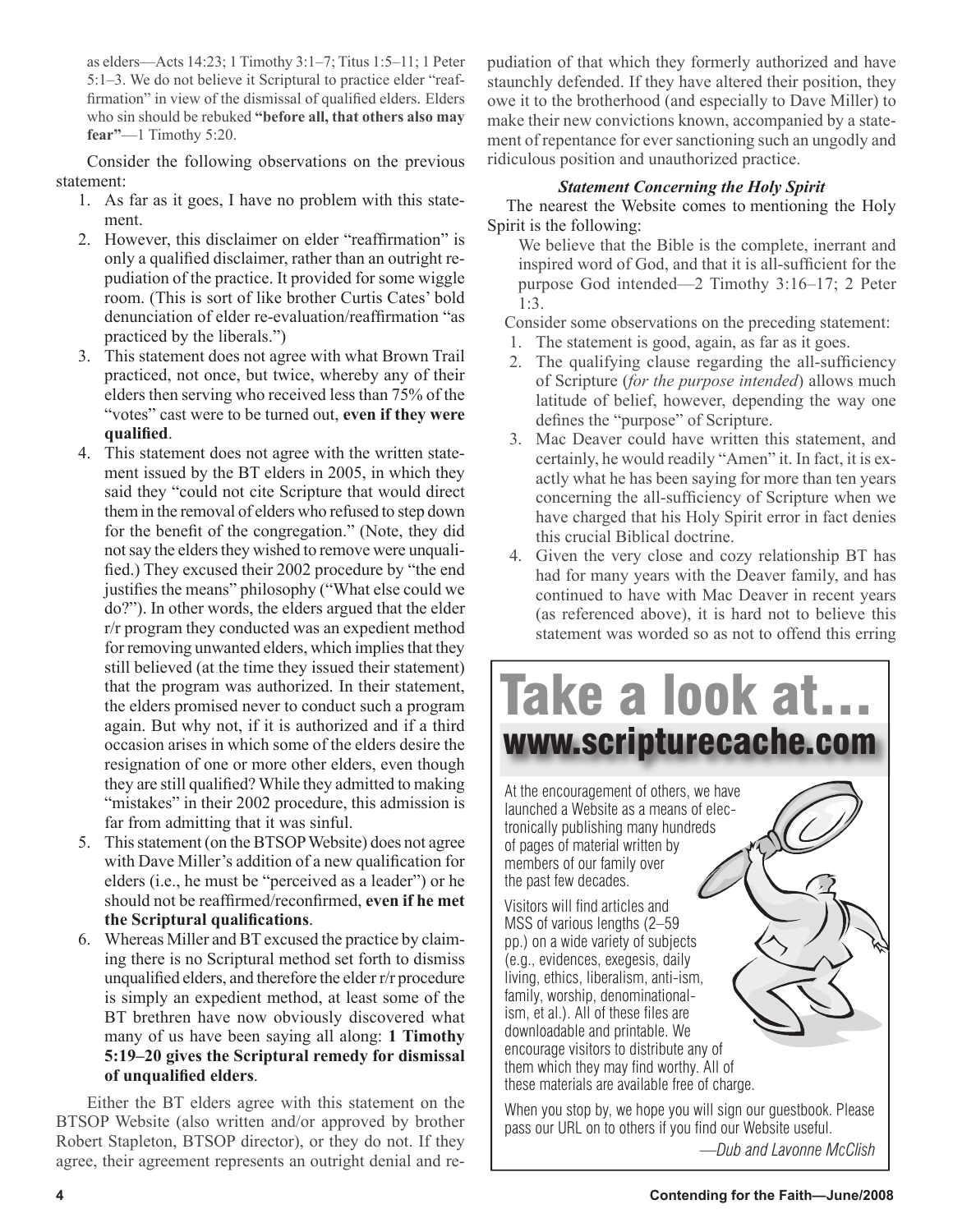as elders—Acts 14:23; 1 Timothy 3:1–7; Titus 1:5–11; 1 Peter 5:1–3. We do not believe it Scriptural to practice elder "reaffirmation" in view of the dismissal of qualified elders. Elders who sin should be rebuked **"before all, that others also may fear"**—1 Timothy 5:20.

Consider the following observations on the previous statement:

- 1. As far as it goes, I have no problem with this statement.
- 2. However, this disclaimer on elder "reaffirmation" is only a qualified disclaimer, rather than an outright repudiation of the practice. It provided for some wiggle room. (This is sort of like brother Curtis Cates' bold denunciation of elder re-evaluation/reaffirmation "as practiced by the liberals.")
- 3. This statement does not agree with what Brown Trail practiced, not once, but twice, whereby any of their elders then serving who received less than 75% of the "votes" cast were to be turned out, **even if they were qualified**.
- 4. This statement does not agree with the written statement issued by the BT elders in 2005, in which they said they "could not cite Scripture that would direct them in the removal of elders who refused to step down for the benefit of the congregation." (Note, they did not say the elders they wished to remove were unqualified.) They excused their 2002 procedure by "the end justifies the means" philosophy ("What else could we do?"). In other words, the elders argued that the elder r/r program they conducted was an expedient method for removing unwanted elders, which implies that they still believed (at the time they issued their statement) that the program was authorized. In their statement, the elders promised never to conduct such a program again. But why not, if it is authorized and if a third occasion arises in which some of the elders desire the resignation of one or more other elders, even though they are still qualified? While they admitted to making "mistakes" in their 2002 procedure, this admission is far from admitting that it was sinful.
- 5. This statement (on the BTSOP Website) does not agree with Dave Miller's addition of a new qualification for elders (i.e., he must be "perceived as a leader") or he should not be reaffirmed/reconfirmed, **even if he met the Scriptural qualifications**.
- 6. Whereas Miller and BT excused the practice by claiming there is no Scriptural method set forth to dismiss unqualified elders, and therefore the elder r/r procedure is simply an expedient method, at least some of the BT brethren have now obviously discovered what many of us have been saying all along: **1 Timothy 5:19–20 gives the Scriptural remedy for dismissal of unqualified elders**.

Either the BT elders agree with this statement on the BTSOP Website (also written and/or approved by brother Robert Stapleton, BTSOP director), or they do not. If they agree, their agreement represents an outright denial and repudiation of that which they formerly authorized and have staunchly defended. If they have altered their position, they owe it to the brotherhood (and especially to Dave Miller) to make their new convictions known, accompanied by a statement of repentance for ever sanctioning such an ungodly and ridiculous position and unauthorized practice.

## *Statement Concerning the Holy Spirit*

 The nearest the Website comes to mentioning the Holy Spirit is the following:

We believe that the Bible is the complete, inerrant and inspired word of God, and that it is all-sufficient for the purpose God intended—2 Timothy 3:16–17; 2 Peter 1:3.

Consider some observations on the preceding statement:

- 1. The statement is good, again, as far as it goes.
- 2. The qualifying clause regarding the all-sufficiency of Scripture (*for the purpose intended*) allows much latitude of belief, however, depending the way one defines the "purpose" of Scripture.
- 3. Mac Deaver could have written this statement, and certainly, he would readily "Amen" it. In fact, it is exactly what he has been saying for more than ten years concerning the all-sufficiency of Scripture when we have charged that his Holy Spirit error in fact denies this crucial Biblical doctrine.
- 4. Given the very close and cozy relationship BT has had for many years with the Deaver family, and has continued to have with Mac Deaver in recent years (as referenced above), it is hard not to believe this statement was worded so as not to offend this erring



*—Dub and Lavonne McClish*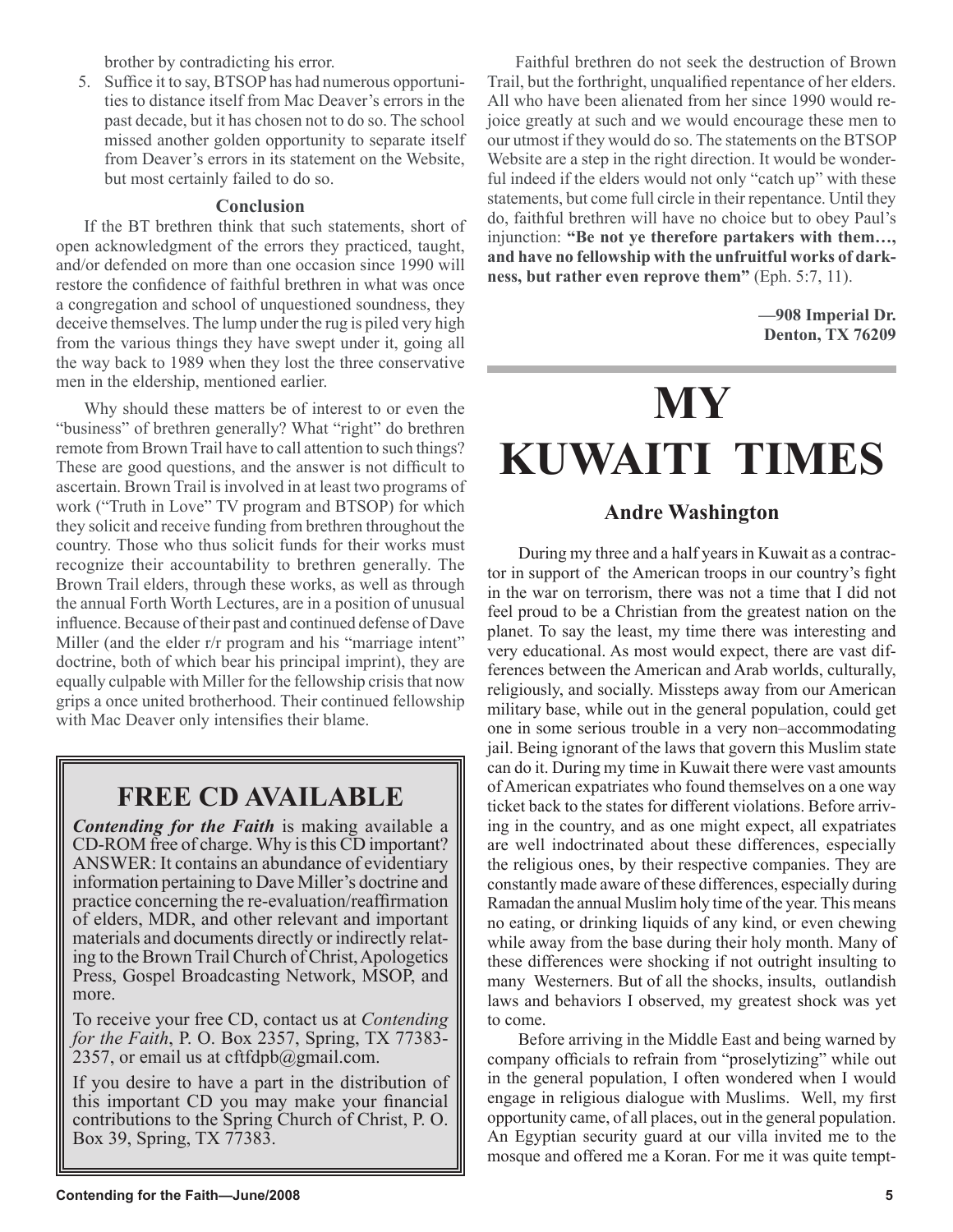brother by contradicting his error.

5. Suffice it to say, BTSOP has had numerous opportunities to distance itself from Mac Deaver's errors in the past decade, but it has chosen not to do so. The school missed another golden opportunity to separate itself from Deaver's errors in its statement on the Website, but most certainly failed to do so.

## **Conclusion**

If the BT brethren think that such statements, short of open acknowledgment of the errors they practiced, taught, and/or defended on more than one occasion since 1990 will restore the confidence of faithful brethren in what was once a congregation and school of unquestioned soundness, they deceive themselves. The lump under the rug is piled very high from the various things they have swept under it, going all the way back to 1989 when they lost the three conservative men in the eldership, mentioned earlier.

Why should these matters be of interest to or even the "business" of brethren generally? What "right" do brethren remote from Brown Trail have to call attention to such things? These are good questions, and the answer is not difficult to ascertain. Brown Trail is involved in at least two programs of work ("Truth in Love" TV program and BTSOP) for which they solicit and receive funding from brethren throughout the country. Those who thus solicit funds for their works must recognize their accountability to brethren generally. The Brown Trail elders, through these works, as well as through the annual Forth Worth Lectures, are in a position of unusual influence. Because of their past and continued defense of Dave Miller (and the elder r/r program and his "marriage intent" doctrine, both of which bear his principal imprint), they are equally culpable with Miller for the fellowship crisis that now grips a once united brotherhood. Their continued fellowship with Mac Deaver only intensifies their blame.

# **FREE CD AVAILABLE**

*Contending for the Faith* is making available a CD-ROM free of charge. Why is this CD important? ANSWER: It contains an abundance of evidentiary information pertaining to Dave Miller's doctrine and practice concerning the re-evaluation/reaffirmation of elders, MDR, and other relevant and important materials and documents directly or indirectly relating to the Brown Trail Church of Christ, Apologetics Press, Gospel Broadcasting Network, MSOP, and more.

To receive your free CD, contact us at *Contending for the Faith*, P. O. Box 2357, Spring, TX 77383- 2357, or email us at cftfdpb $@g$ gmail.com.

If you desire to have a part in the distribution of this important CD you may make your financial contributions to the Spring Church of Christ, P. O. Box 39, Spring, TX 77383.

Faithful brethren do not seek the destruction of Brown Trail, but the forthright, unqualified repentance of her elders. All who have been alienated from her since 1990 would rejoice greatly at such and we would encourage these men to our utmost if they would do so. The statements on the BTSOP Website are a step in the right direction. It would be wonderful indeed if the elders would not only "catch up" with these statements, but come full circle in their repentance. Until they do, faithful brethren will have no choice but to obey Paul's injunction: **"Be not ye therefore partakers with them…, and have no fellowship with the unfruitful works of darkness, but rather even reprove them"** (Eph. 5:7, 11).

> **—908 Imperial Dr. Denton, TX 76209**

# **MY KUWAITI TIMES**

# **Andre Washington**

During my three and a half years in Kuwait as a contractor in support of the American troops in our country's fight in the war on terrorism, there was not a time that I did not feel proud to be a Christian from the greatest nation on the planet. To say the least, my time there was interesting and very educational. As most would expect, there are vast differences between the American and Arab worlds, culturally, religiously, and socially. Missteps away from our American military base, while out in the general population, could get one in some serious trouble in a very non–accommodating jail. Being ignorant of the laws that govern this Muslim state can do it. During my time in Kuwait there were vast amounts of American expatriates who found themselves on a one way ticket back to the states for different violations. Before arriving in the country, and as one might expect, all expatriates are well indoctrinated about these differences, especially the religious ones, by their respective companies. They are constantly made aware of these differences, especially during Ramadan the annual Muslim holy time of the year. This means no eating, or drinking liquids of any kind, or even chewing while away from the base during their holy month. Many of these differences were shocking if not outright insulting to many Westerners. But of all the shocks, insults, outlandish laws and behaviors I observed, my greatest shock was yet to come.

Before arriving in the Middle East and being warned by company officials to refrain from "proselytizing" while out in the general population, I often wondered when I would engage in religious dialogue with Muslims. Well, my first opportunity came, of all places, out in the general population. An Egyptian security guard at our villa invited me to the mosque and offered me a Koran. For me it was quite tempt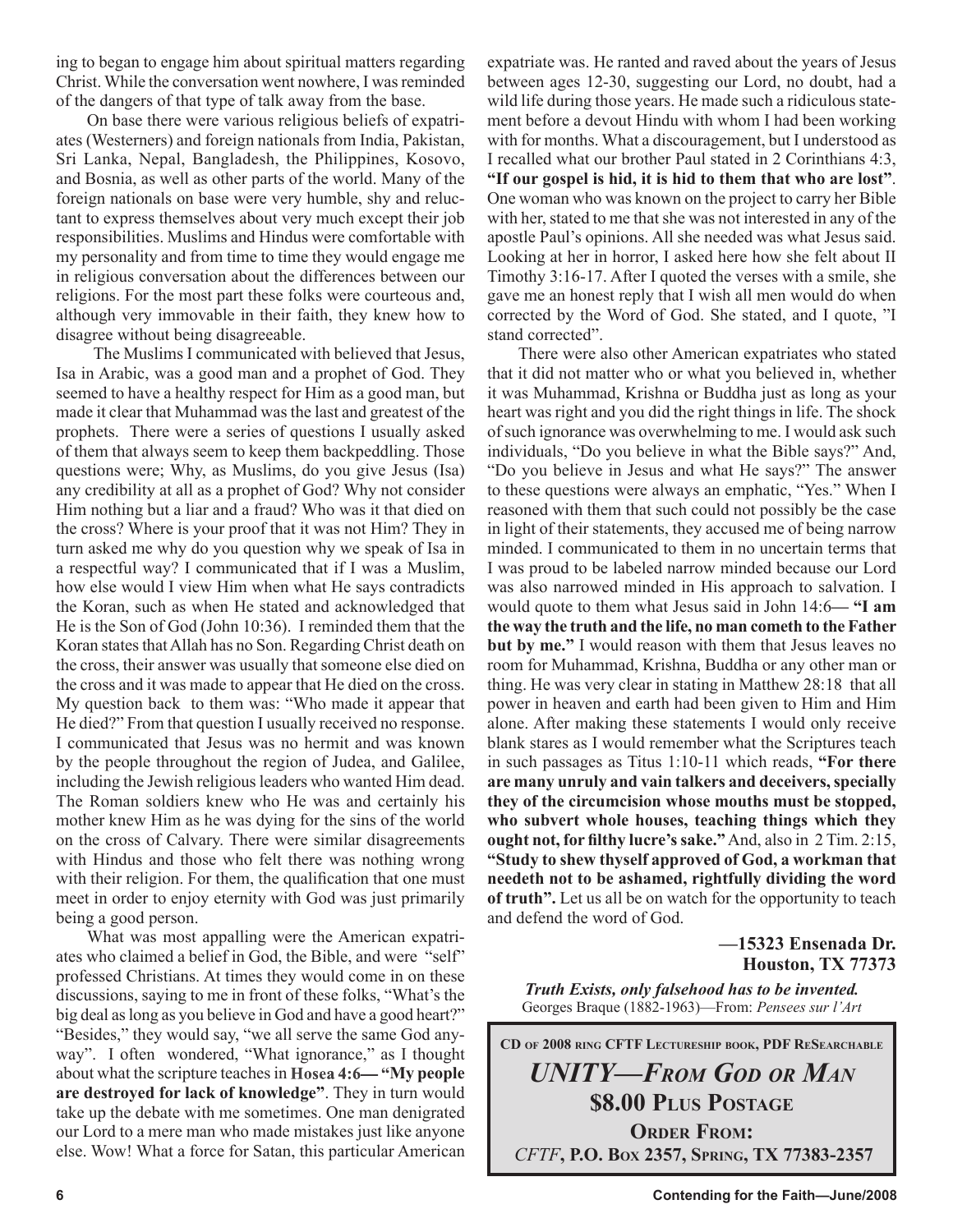ing to began to engage him about spiritual matters regarding Christ. While the conversation went nowhere, I was reminded of the dangers of that type of talk away from the base.

On base there were various religious beliefs of expatriates (Westerners) and foreign nationals from India, Pakistan, Sri Lanka, Nepal, Bangladesh, the Philippines, Kosovo, and Bosnia, as well as other parts of the world. Many of the foreign nationals on base were very humble, shy and reluctant to express themselves about very much except their job responsibilities. Muslims and Hindus were comfortable with my personality and from time to time they would engage me in religious conversation about the differences between our religions. For the most part these folks were courteous and, although very immovable in their faith, they knew how to disagree without being disagreeable.

 The Muslims I communicated with believed that Jesus, Isa in Arabic, was a good man and a prophet of God. They seemed to have a healthy respect for Him as a good man, but made it clear that Muhammad was the last and greatest of the prophets. There were a series of questions I usually asked of them that always seem to keep them backpeddling. Those questions were; Why, as Muslims, do you give Jesus (Isa) any credibility at all as a prophet of God? Why not consider Him nothing but a liar and a fraud? Who was it that died on the cross? Where is your proof that it was not Him? They in turn asked me why do you question why we speak of Isa in a respectful way? I communicated that if I was a Muslim, how else would I view Him when what He says contradicts the Koran, such as when He stated and acknowledged that He is the Son of God (John 10:36). I reminded them that the Koran states that Allah has no Son. Regarding Christ death on the cross, their answer was usually that someone else died on the cross and it was made to appear that He died on the cross. My question back to them was: "Who made it appear that He died?" From that question I usually received no response. I communicated that Jesus was no hermit and was known by the people throughout the region of Judea, and Galilee, including the Jewish religious leaders who wanted Him dead. The Roman soldiers knew who He was and certainly his mother knew Him as he was dying for the sins of the world on the cross of Calvary. There were similar disagreements with Hindus and those who felt there was nothing wrong with their religion. For them, the qualification that one must meet in order to enjoy eternity with God was just primarily being a good person.

What was most appalling were the American expatriates who claimed a belief in God, the Bible, and were "self" professed Christians. At times they would come in on these discussions, saying to me in front of these folks, "What's the big deal as long as you believe in God and have a good heart?" "Besides," they would say, "we all serve the same God anyway". I often wondered, "What ignorance," as I thought about what the scripture teaches in **Hosea 4:6— "My people are destroyed for lack of knowledge"**. They in turn would take up the debate with me sometimes. One man denigrated our Lord to a mere man who made mistakes just like anyone else. Wow! What a force for Satan, this particular American

expatriate was. He ranted and raved about the years of Jesus between ages 12-30, suggesting our Lord, no doubt, had a wild life during those years. He made such a ridiculous statement before a devout Hindu with whom I had been working with for months. What a discouragement, but I understood as I recalled what our brother Paul stated in 2 Corinthians 4:3, **"If our gospel is hid, it is hid to them that who are lost"**. One woman who was known on the project to carry her Bible with her, stated to me that she was not interested in any of the apostle Paul's opinions. All she needed was what Jesus said. Looking at her in horror, I asked here how she felt about II Timothy 3:16-17. After I quoted the verses with a smile, she gave me an honest reply that I wish all men would do when corrected by the Word of God. She stated, and I quote, "I stand corrected".

There were also other American expatriates who stated that it did not matter who or what you believed in, whether it was Muhammad, Krishna or Buddha just as long as your heart was right and you did the right things in life. The shock of such ignorance was overwhelming to me. I would ask such individuals, "Do you believe in what the Bible says?" And, "Do you believe in Jesus and what He says?" The answer to these questions were always an emphatic, "Yes." When I reasoned with them that such could not possibly be the case in light of their statements, they accused me of being narrow minded. I communicated to them in no uncertain terms that I was proud to be labeled narrow minded because our Lord was also narrowed minded in His approach to salvation. I would quote to them what Jesus said in John 14:6**— "I am the way the truth and the life, no man cometh to the Father but by me."** I would reason with them that Jesus leaves no room for Muhammad, Krishna, Buddha or any other man or thing. He was very clear in stating in Matthew 28:18 that all power in heaven and earth had been given to Him and Him alone. After making these statements I would only receive blank stares as I would remember what the Scriptures teach in such passages as Titus 1:10-11 which reads, **"For there are many unruly and vain talkers and deceivers, specially they of the circumcision whose mouths must be stopped, who subvert whole houses, teaching things which they ought not, for filthy lucre's sake."** And, also in 2 Tim. 2:15, **"Study to shew thyself approved of God, a workman that needeth not to be ashamed, rightfully dividing the word of truth".** Let us all be on watch for the opportunity to teach and defend the word of God.

> **—15323 Ensenada Dr. Houston, TX 77373**

*Truth Exists, only falsehood has to be invented.* Georges Braque (1882-1963)—From: *Pensees sur l'Art*

**CD OF 2008 RING CFTF LECTURESHIP BOOK, PDF RESEARCHABLE** *UNITY—FROM GOD OR MAN* **\$8.00 PLUS POSTAGE ORDER FROM:** *CFTF***, P.O. BOX 2357, SPRING, TX 77383-2357**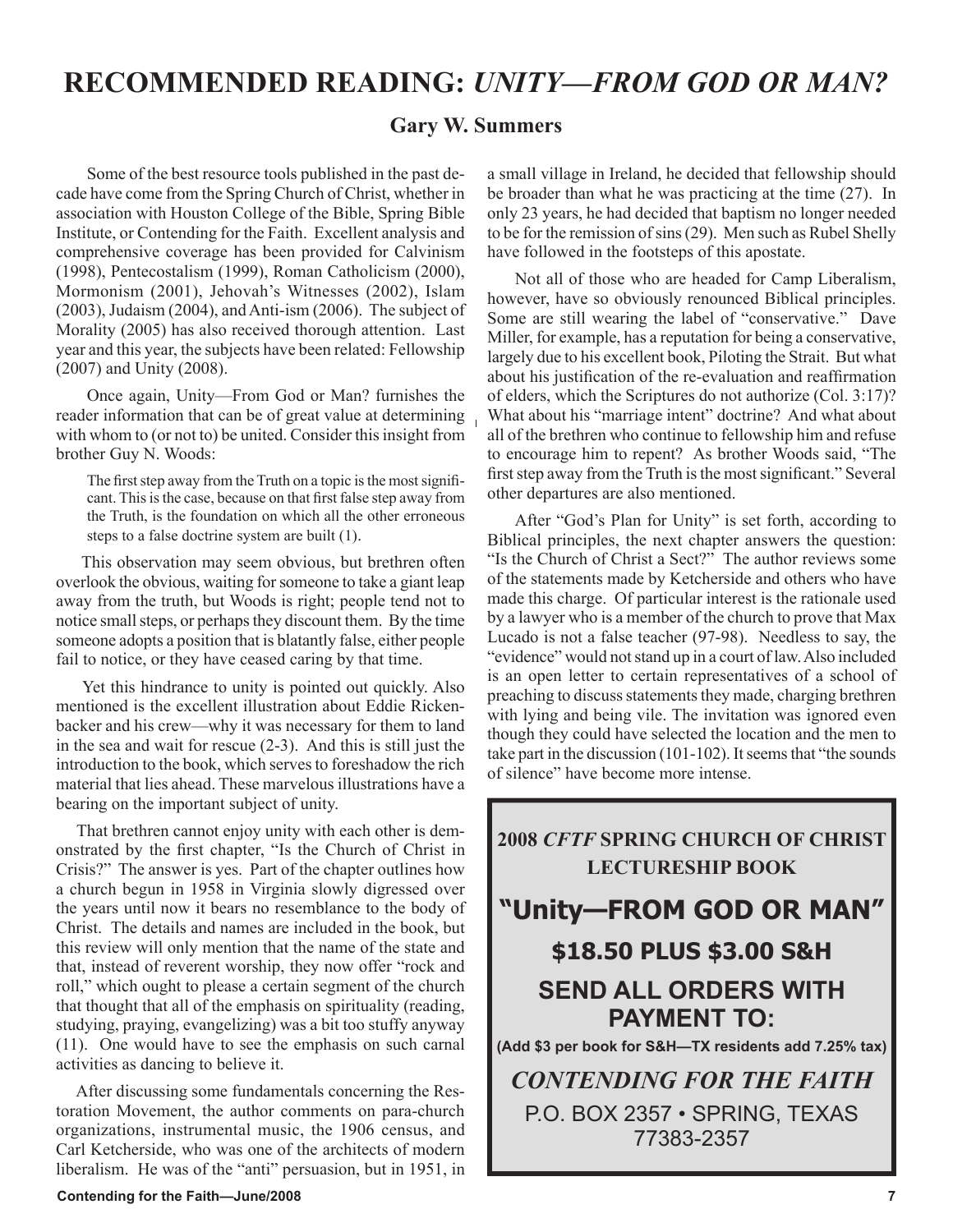# **RECOMMENDED READING:** *UNITY—FROM GOD OR MAN?*

# **Gary W. Summers**

Some of the best resource tools published in the past decade have come from the Spring Church of Christ, whether in association with Houston College of the Bible, Spring Bible Institute, or Contending for the Faith. Excellent analysis and comprehensive coverage has been provided for Calvinism (1998), Pentecostalism (1999), Roman Catholicism (2000), Mormonism (2001), Jehovah's Witnesses (2002), Islam (2003), Judaism (2004), and Anti-ism (2006). The subject of Morality (2005) has also received thorough attention. Last year and this year, the subjects have been related: Fellowship (2007) and Unity (2008).

Once again, Unity—From God or Man? furnishes the reader information that can be of great value at determining with whom to (or not to) be united. Consider this insight from brother Guy N. Woods:

The first step away from the Truth on a topic is the most significant. This is the case, because on that first false step away from the Truth, is the foundation on which all the other erroneous steps to a false doctrine system are built (1).

 This observation may seem obvious, but brethren often overlook the obvious, waiting for someone to take a giant leap away from the truth, but Woods is right; people tend not to notice small steps, or perhaps they discount them. By the time someone adopts a position that is blatantly false, either people fail to notice, or they have ceased caring by that time.

 Yet this hindrance to unity is pointed out quickly. Also mentioned is the excellent illustration about Eddie Rickenbacker and his crew—why it was necessary for them to land in the sea and wait for rescue (2-3). And this is still just the introduction to the book, which serves to foreshadow the rich material that lies ahead. These marvelous illustrations have a bearing on the important subject of unity.

 That brethren cannot enjoy unity with each other is demonstrated by the first chapter, "Is the Church of Christ in Crisis?" The answer is yes. Part of the chapter outlines how a church begun in 1958 in Virginia slowly digressed over the years until now it bears no resemblance to the body of Christ. The details and names are included in the book, but this review will only mention that the name of the state and that, instead of reverent worship, they now offer "rock and roll," which ought to please a certain segment of the church that thought that all of the emphasis on spirituality (reading, studying, praying, evangelizing) was a bit too stuffy anyway (11). One would have to see the emphasis on such carnal activities as dancing to believe it.

 After discussing some fundamentals concerning the Restoration Movement, the author comments on para-church organizations, instrumental music, the 1906 census, and Carl Ketcherside, who was one of the architects of modern liberalism. He was of the "anti" persuasion, but in 1951, in

a small village in Ireland, he decided that fellowship should be broader than what he was practicing at the time (27). In only 23 years, he had decided that baptism no longer needed to be for the remission of sins (29). Men such as Rubel Shelly have followed in the footsteps of this apostate.

 Not all of those who are headed for Camp Liberalism, however, have so obviously renounced Biblical principles. Some are still wearing the label of "conservative." Dave Miller, for example, has a reputation for being a conservative, largely due to his excellent book, Piloting the Strait. But what about his justification of the re-evaluation and reaffirmation of elders, which the Scriptures do not authorize (Col. 3:17)? What about his "marriage intent" doctrine? And what about all of the brethren who continue to fellowship him and refuse to encourage him to repent? As brother Woods said, "The first step away from the Truth is the most significant." Several other departures are also mentioned.

 After "God's Plan for Unity" is set forth, according to Biblical principles, the next chapter answers the question: "Is the Church of Christ a Sect?" The author reviews some of the statements made by Ketcherside and others who have made this charge. Of particular interest is the rationale used by a lawyer who is a member of the church to prove that Max Lucado is not a false teacher (97-98). Needless to say, the "evidence" would not stand up in a court of law. Also included is an open letter to certain representatives of a school of preaching to discuss statements they made, charging brethren with lying and being vile. The invitation was ignored even though they could have selected the location and the men to take part in the discussion (101-102). It seems that "the sounds of silence" have become more intense.

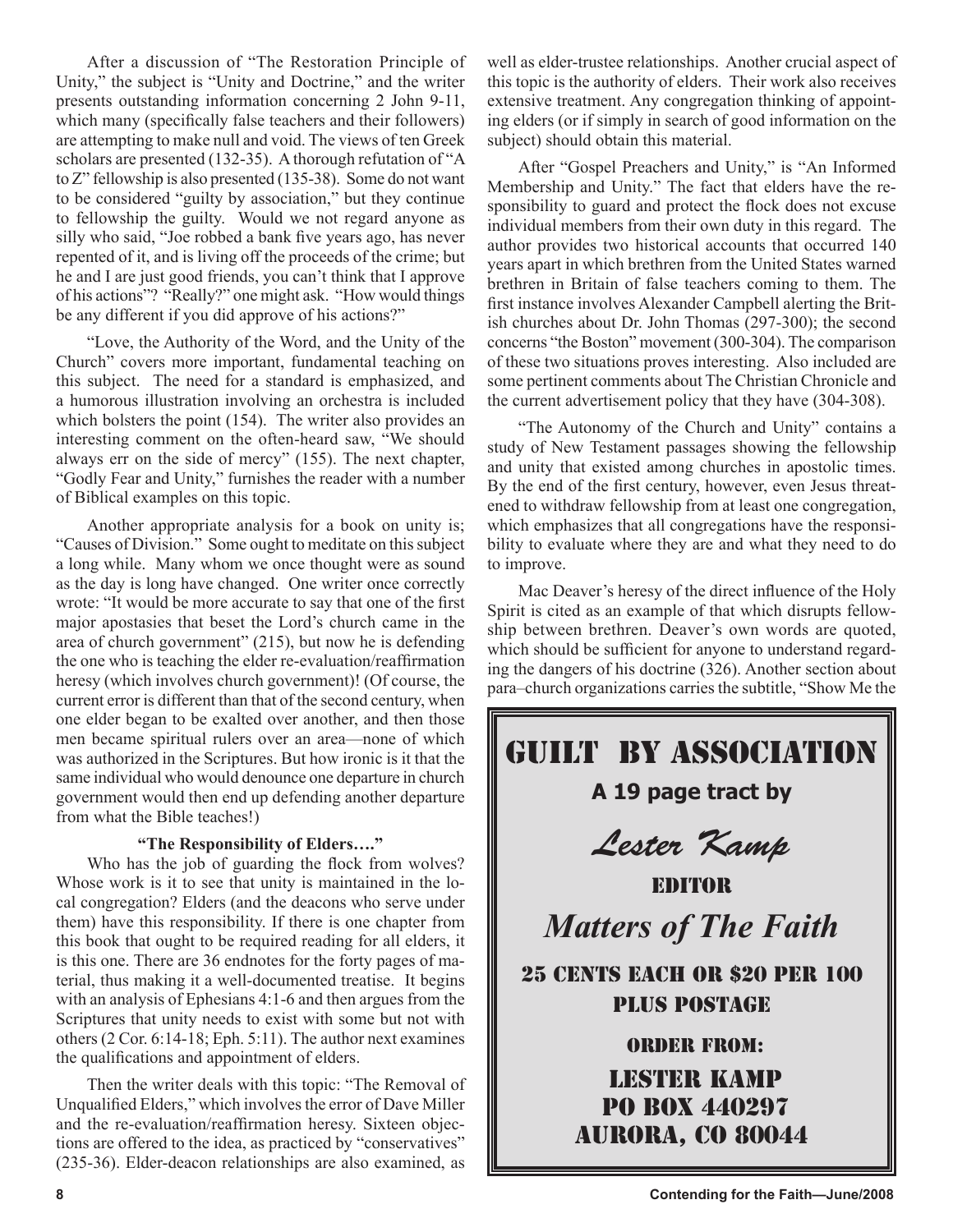After a discussion of "The Restoration Principle of Unity," the subject is "Unity and Doctrine," and the writer presents outstanding information concerning 2 John 9-11, which many (specifically false teachers and their followers) are attempting to make null and void. The views of ten Greek scholars are presented (132-35). A thorough refutation of "A to Z" fellowship is also presented (135-38). Some do not want to be considered "guilty by association," but they continue to fellowship the guilty. Would we not regard anyone as silly who said, "Joe robbed a bank five years ago, has never repented of it, and is living off the proceeds of the crime; but he and I are just good friends, you can't think that I approve of his actions"? "Really?" one might ask. "How would things be any different if you did approve of his actions?"

"Love, the Authority of the Word, and the Unity of the Church" covers more important, fundamental teaching on this subject. The need for a standard is emphasized, and a humorous illustration involving an orchestra is included which bolsters the point (154). The writer also provides an interesting comment on the often-heard saw, "We should always err on the side of mercy" (155). The next chapter, "Godly Fear and Unity," furnishes the reader with a number of Biblical examples on this topic.

Another appropriate analysis for a book on unity is; "Causes of Division." Some ought to meditate on this subject a long while. Many whom we once thought were as sound as the day is long have changed. One writer once correctly wrote: "It would be more accurate to say that one of the first major apostasies that beset the Lord's church came in the area of church government" (215), but now he is defending the one who is teaching the elder re-evaluation/reaffirmation heresy (which involves church government)! (Of course, the current error is different than that of the second century, when one elder began to be exalted over another, and then those men became spiritual rulers over an area—none of which was authorized in the Scriptures. But how ironic is it that the same individual who would denounce one departure in church government would then end up defending another departure from what the Bible teaches!)

### **"The Responsibility of Elders…."**

Who has the job of guarding the flock from wolves? Whose work is it to see that unity is maintained in the local congregation? Elders (and the deacons who serve under them) have this responsibility. If there is one chapter from this book that ought to be required reading for all elders, it is this one. There are 36 endnotes for the forty pages of material, thus making it a well-documented treatise. It begins with an analysis of Ephesians 4:1-6 and then argues from the Scriptures that unity needs to exist with some but not with others (2 Cor. 6:14-18; Eph. 5:11). The author next examines the qualifications and appointment of elders.

Then the writer deals with this topic: "The Removal of Unqualified Elders," which involves the error of Dave Miller and the re-evaluation/reaffirmation heresy. Sixteen objections are offered to the idea, as practiced by "conservatives" (235-36). Elder-deacon relationships are also examined, as

well as elder-trustee relationships. Another crucial aspect of this topic is the authority of elders. Their work also receives extensive treatment. Any congregation thinking of appointing elders (or if simply in search of good information on the subject) should obtain this material.

After "Gospel Preachers and Unity," is "An Informed Membership and Unity." The fact that elders have the responsibility to guard and protect the flock does not excuse individual members from their own duty in this regard. The author provides two historical accounts that occurred 140 years apart in which brethren from the United States warned brethren in Britain of false teachers coming to them. The first instance involves Alexander Campbell alerting the British churches about Dr. John Thomas (297-300); the second concerns "the Boston" movement (300-304). The comparison of these two situations proves interesting. Also included are some pertinent comments about The Christian Chronicle and the current advertisement policy that they have (304-308).

"The Autonomy of the Church and Unity" contains a study of New Testament passages showing the fellowship and unity that existed among churches in apostolic times. By the end of the first century, however, even Jesus threatened to withdraw fellowship from at least one congregation, which emphasizes that all congregations have the responsibility to evaluate where they are and what they need to do to improve.

Mac Deaver's heresy of the direct influence of the Holy Spirit is cited as an example of that which disrupts fellowship between brethren. Deaver's own words are quoted, which should be sufficient for anyone to understand regarding the dangers of his doctrine (326). Another section about para–church organizations carries the subtitle, "Show Me the

# Guilt By Association

**A 19 page tract by**

Lester Kamp

EDITOR *Matters of The Faith*

25 CENTS EACH OR \$20 PER 100 PLUS POSTAGE

# ORDER FROM: Lester Kamp PO Box 440297 aurora, co 80044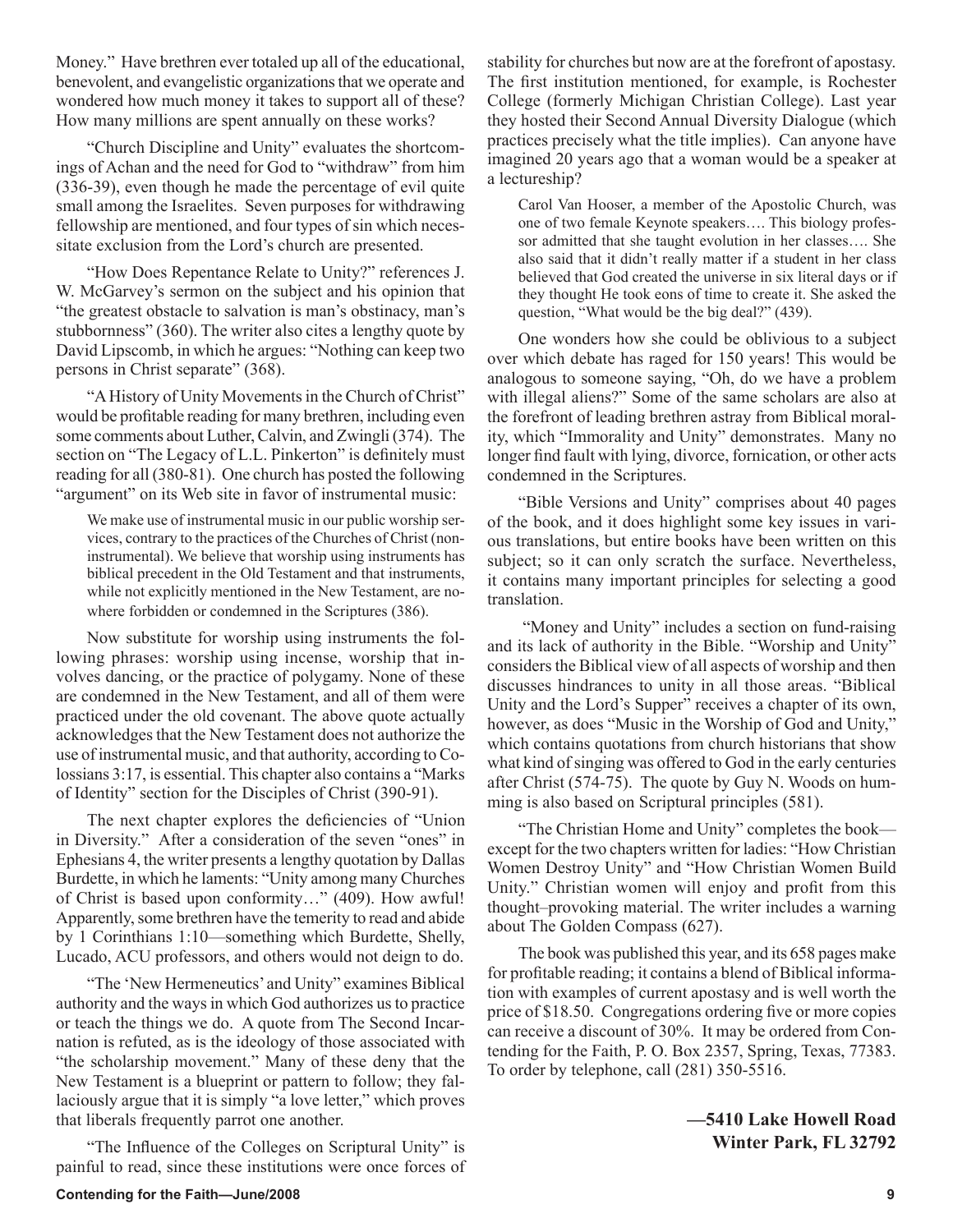Money." Have brethren ever totaled up all of the educational, benevolent, and evangelistic organizations that we operate and wondered how much money it takes to support all of these? How many millions are spent annually on these works?

"Church Discipline and Unity" evaluates the shortcomings of Achan and the need for God to "withdraw" from him (336-39), even though he made the percentage of evil quite small among the Israelites. Seven purposes for withdrawing fellowship are mentioned, and four types of sin which necessitate exclusion from the Lord's church are presented.

"How Does Repentance Relate to Unity?" references J. W. McGarvey's sermon on the subject and his opinion that "the greatest obstacle to salvation is man's obstinacy, man's stubbornness" (360). The writer also cites a lengthy quote by David Lipscomb, in which he argues: "Nothing can keep two persons in Christ separate" (368).

"A History of Unity Movements in the Church of Christ" would be profitable reading for many brethren, including even some comments about Luther, Calvin, and Zwingli (374). The section on "The Legacy of L.L. Pinkerton" is definitely must reading for all (380-81). One church has posted the following "argument" on its Web site in favor of instrumental music:

We make use of instrumental music in our public worship services, contrary to the practices of the Churches of Christ (noninstrumental). We believe that worship using instruments has biblical precedent in the Old Testament and that instruments, while not explicitly mentioned in the New Testament, are nowhere forbidden or condemned in the Scriptures (386).

Now substitute for worship using instruments the following phrases: worship using incense, worship that involves dancing, or the practice of polygamy. None of these are condemned in the New Testament, and all of them were practiced under the old covenant. The above quote actually acknowledges that the New Testament does not authorize the use of instrumental music, and that authority, according to Colossians 3:17, is essential. This chapter also contains a "Marks of Identity" section for the Disciples of Christ (390-91).

The next chapter explores the deficiencies of "Union in Diversity." After a consideration of the seven "ones" in Ephesians 4, the writer presents a lengthy quotation by Dallas Burdette, in which he laments: "Unity among many Churches of Christ is based upon conformity…" (409). How awful! Apparently, some brethren have the temerity to read and abide by 1 Corinthians 1:10—something which Burdette, Shelly, Lucado, ACU professors, and others would not deign to do.

"The 'New Hermeneutics' and Unity" examines Biblical authority and the ways in which God authorizes us to practice or teach the things we do. A quote from The Second Incarnation is refuted, as is the ideology of those associated with "the scholarship movement." Many of these deny that the New Testament is a blueprint or pattern to follow; they fallaciously argue that it is simply "a love letter," which proves that liberals frequently parrot one another.

"The Influence of the Colleges on Scriptural Unity" is painful to read, since these institutions were once forces of stability for churches but now are at the forefront of apostasy. The first institution mentioned, for example, is Rochester College (formerly Michigan Christian College). Last year they hosted their Second Annual Diversity Dialogue (which practices precisely what the title implies). Can anyone have imagined 20 years ago that a woman would be a speaker at a lectureship?

Carol Van Hooser, a member of the Apostolic Church, was one of two female Keynote speakers…. This biology professor admitted that she taught evolution in her classes…. She also said that it didn't really matter if a student in her class believed that God created the universe in six literal days or if they thought He took eons of time to create it. She asked the question, "What would be the big deal?" (439).

One wonders how she could be oblivious to a subject over which debate has raged for 150 years! This would be analogous to someone saying, "Oh, do we have a problem with illegal aliens?" Some of the same scholars are also at the forefront of leading brethren astray from Biblical morality, which "Immorality and Unity" demonstrates. Many no longer find fault with lying, divorce, fornication, or other acts condemned in the Scriptures.

"Bible Versions and Unity" comprises about 40 pages of the book, and it does highlight some key issues in various translations, but entire books have been written on this subject; so it can only scratch the surface. Nevertheless, it contains many important principles for selecting a good translation.

 "Money and Unity" includes a section on fund-raising and its lack of authority in the Bible. "Worship and Unity" considers the Biblical view of all aspects of worship and then discusses hindrances to unity in all those areas. "Biblical Unity and the Lord's Supper" receives a chapter of its own, however, as does "Music in the Worship of God and Unity," which contains quotations from church historians that show what kind of singing was offered to God in the early centuries after Christ (574-75). The quote by Guy N. Woods on humming is also based on Scriptural principles (581).

"The Christian Home and Unity" completes the book except for the two chapters written for ladies: "How Christian Women Destroy Unity" and "How Christian Women Build Unity." Christian women will enjoy and profit from this thought–provoking material. The writer includes a warning about The Golden Compass (627).

The book was published this year, and its 658 pages make for profitable reading; it contains a blend of Biblical information with examples of current apostasy and is well worth the price of \$18.50. Congregations ordering five or more copies can receive a discount of 30%. It may be ordered from Contending for the Faith, P. O. Box 2357, Spring, Texas, 77383. To order by telephone, call (281) 350-5516.

> **—5410 Lake Howell Road Winter Park, FL 32792**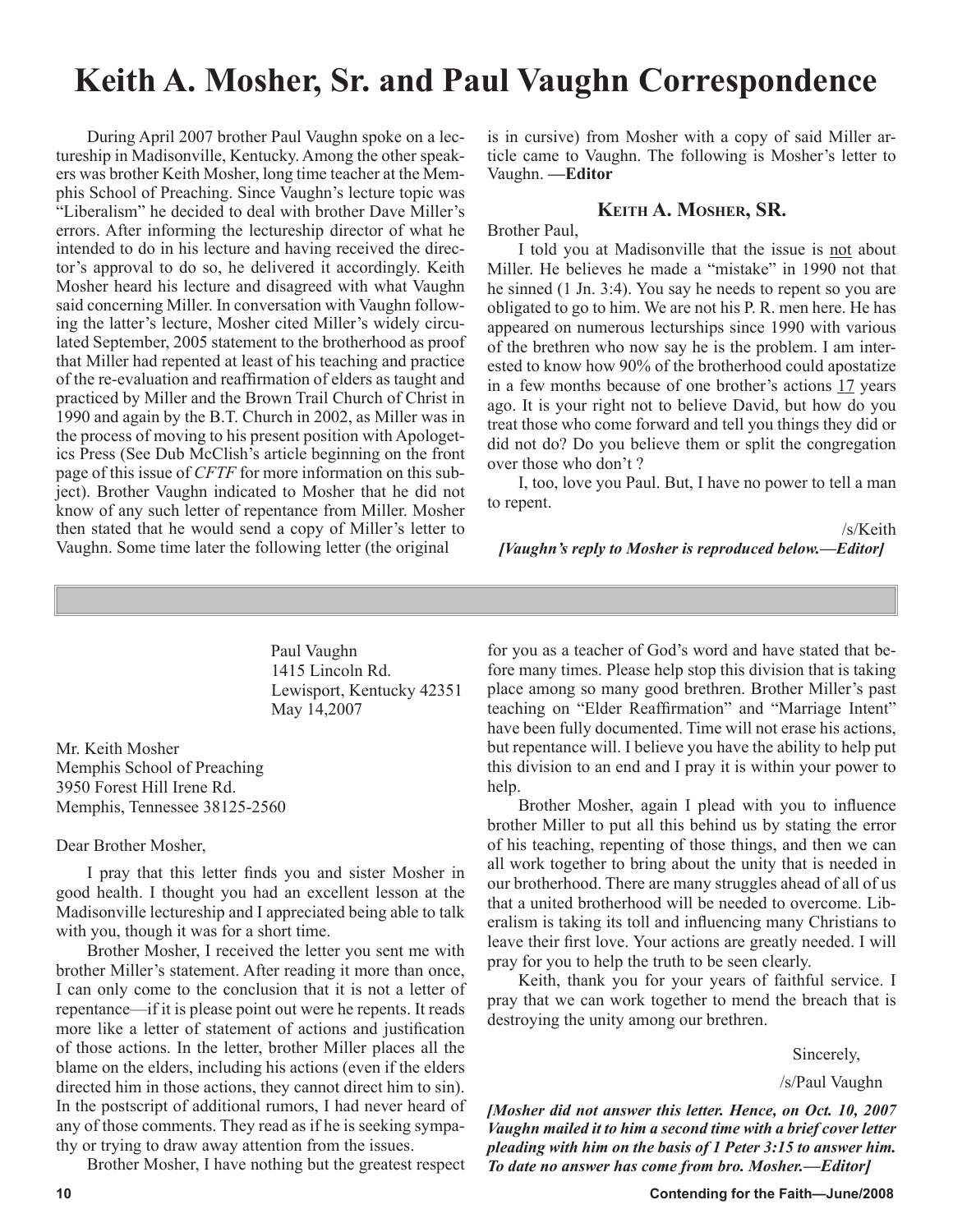# **Keith A. Mosher, Sr. and Paul Vaughn Correspondence**

During April 2007 brother Paul Vaughn spoke on a lectureship in Madisonville, Kentucky. Among the other speakers was brother Keith Mosher, long time teacher at the Memphis School of Preaching. Since Vaughn's lecture topic was "Liberalism" he decided to deal with brother Dave Miller's errors. After informing the lectureship director of what he intended to do in his lecture and having received the director's approval to do so, he delivered it accordingly. Keith Mosher heard his lecture and disagreed with what Vaughn said concerning Miller. In conversation with Vaughn following the latter's lecture, Mosher cited Miller's widely circulated September, 2005 statement to the brotherhood as proof that Miller had repented at least of his teaching and practice of the re-evaluation and reaffirmation of elders as taught and practiced by Miller and the Brown Trail Church of Christ in 1990 and again by the B.T. Church in 2002, as Miller was in the process of moving to his present position with Apologetics Press (See Dub McClish's article beginning on the front page of this issue of *CFTF* for more information on this subject). Brother Vaughn indicated to Mosher that he did not know of any such letter of repentance from Miller. Mosher then stated that he would send a copy of Miller's letter to Vaughn. Some time later the following letter (the original

is in cursive) from Mosher with a copy of said Miller article came to Vaughn. The following is Mosher's letter to Vaughn. **—Editor**

#### **KEITH A. MOSHER, SR.**

Brother Paul,

I told you at Madisonville that the issue is not about Miller. He believes he made a "mistake" in 1990 not that he sinned (1 Jn. 3:4). You say he needs to repent so you are obligated to go to him. We are not his P. R. men here. He has appeared on numerous lecturships since 1990 with various of the brethren who now say he is the problem. I am interested to know how 90% of the brotherhood could apostatize in a few months because of one brother's actions 17 years ago. It is your right not to believe David, but how do you treat those who come forward and tell you things they did or did not do? Do you believe them or split the congregation over those who don't ?

I, too, love you Paul. But, I have no power to tell a man to repent.

/s/Keith *[Vaughn's reply to Mosher is reproduced below.—Editor]*

 Paul Vaughn 1415 Lincoln Rd. Lewisport, Kentucky 42351 May 14,2007

Mr. Keith Mosher Memphis School of Preaching 3950 Forest Hill Irene Rd. Memphis, Tennessee 38125-2560

#### Dear Brother Mosher,

I pray that this letter finds you and sister Mosher in good health. I thought you had an excellent lesson at the Madisonville lectureship and I appreciated being able to talk with you, though it was for a short time.

Brother Mosher, I received the letter you sent me with brother Miller's statement. After reading it more than once, I can only come to the conclusion that it is not a letter of repentance—if it is please point out were he repents. It reads more like a letter of statement of actions and justification of those actions. In the letter, brother Miller places all the blame on the elders, including his actions (even if the elders directed him in those actions, they cannot direct him to sin). In the postscript of additional rumors, I had never heard of any of those comments. They read as if he is seeking sympathy or trying to draw away attention from the issues.

Brother Mosher, I have nothing but the greatest respect

for you as a teacher of God's word and have stated that before many times. Please help stop this division that is taking place among so many good brethren. Brother Miller's past teaching on "Elder Reaffirmation" and "Marriage Intent" have been fully documented. Time will not erase his actions, but repentance will. I believe you have the ability to help put this division to an end and I pray it is within your power to help.

Brother Mosher, again I plead with you to influence brother Miller to put all this behind us by stating the error of his teaching, repenting of those things, and then we can all work together to bring about the unity that is needed in our brotherhood. There are many struggles ahead of all of us that a united brotherhood will be needed to overcome. Liberalism is taking its toll and influencing many Christians to leave their first love. Your actions are greatly needed. I will pray for you to help the truth to be seen clearly.

Keith, thank you for your years of faithful service. I pray that we can work together to mend the breach that is destroying the unity among our brethren.

Sincerely,

/s/Paul Vaughn

*[Mosher did not answer this letter. Hence, on Oct. 10, 2007 Vaughn mailed it to him a second time with a brief cover letter pleading with him on the basis of 1 Peter 3:15 to answer him. To date no answer has come from bro. Mosher.—Editor]*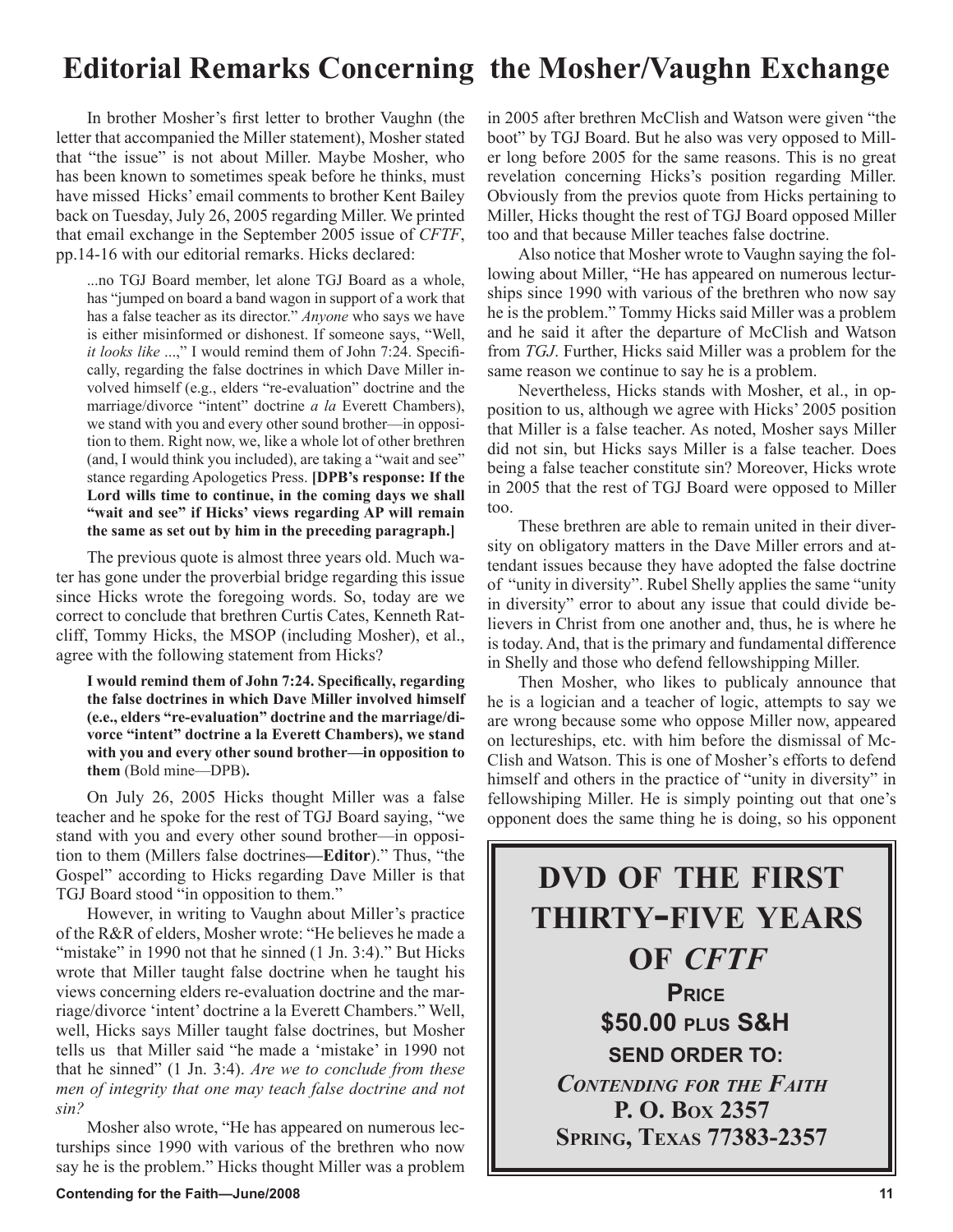# **Editorial Remarks Concerning the Mosher/Vaughn Exchange**

In brother Mosher's first letter to brother Vaughn (the letter that accompanied the Miller statement), Mosher stated that "the issue" is not about Miller. Maybe Mosher, who has been known to sometimes speak before he thinks, must have missed Hicks' email comments to brother Kent Bailey back on Tuesday, July 26, 2005 regarding Miller. We printed that email exchange in the September 2005 issue of *CFTF*, pp.14-16 with our editorial remarks. Hicks declared:

...no TGJ Board member, let alone TGJ Board as a whole, has "jumped on board a band wagon in support of a work that has a false teacher as its director." *Anyone* who says we have is either misinformed or dishonest. If someone says, "Well, *it looks like* ...," I would remind them of John 7:24. Specifically, regarding the false doctrines in which Dave Miller involved himself (e.g., elders "re-evaluation" doctrine and the marriage/divorce "intent" doctrine *a la* Everett Chambers), we stand with you and every other sound brother—in opposition to them. Right now, we, like a whole lot of other brethren (and, I would think you included), are taking a "wait and see" stance regarding Apologetics Press. **[DPB's response: If the Lord wills time to continue, in the coming days we shall "wait and see" if Hicks' views regarding AP will remain the same as set out by him in the preceding paragraph.]**

The previous quote is almost three years old. Much water has gone under the proverbial bridge regarding this issue since Hicks wrote the foregoing words. So, today are we correct to conclude that brethren Curtis Cates, Kenneth Ratcliff, Tommy Hicks, the MSOP (including Mosher), et al., agree with the following statement from Hicks?

**I would remind them of John 7:24. Specifically, regarding the false doctrines in which Dave Miller involved himself (e.e., elders "re-evaluation" doctrine and the marriage/divorce "intent" doctrine a la Everett Chambers), we stand with you and every other sound brother—in opposition to them** (Bold mine—DPB)**.**

On July 26, 2005 Hicks thought Miller was a false teacher and he spoke for the rest of TGJ Board saying, "we stand with you and every other sound brother—in opposition to them (Millers false doctrines**—Editor**)." Thus, "the Gospel" according to Hicks regarding Dave Miller is that TGJ Board stood "in opposition to them."

However, in writing to Vaughn about Miller's practice of the R&R of elders, Mosher wrote: "He believes he made a "mistake" in 1990 not that he sinned (1 Jn. 3:4)." But Hicks wrote that Miller taught false doctrine when he taught his views concerning elders re-evaluation doctrine and the marriage/divorce 'intent' doctrine a la Everett Chambers." Well, well, Hicks says Miller taught false doctrines, but Mosher tells us that Miller said "he made a 'mistake' in 1990 not that he sinned" (1 Jn. 3:4). *Are we to conclude from these men of integrity that one may teach false doctrine and not sin?*

Mosher also wrote, "He has appeared on numerous lecturships since 1990 with various of the brethren who now say he is the problem." Hicks thought Miller was a problem in 2005 after brethren McClish and Watson were given "the boot" by TGJ Board. But he also was very opposed to Miller long before 2005 for the same reasons. This is no great revelation concerning Hicks's position regarding Miller. Obviously from the previos quote from Hicks pertaining to Miller, Hicks thought the rest of TGJ Board opposed Miller too and that because Miller teaches false doctrine.

Also notice that Mosher wrote to Vaughn saying the following about Miller, "He has appeared on numerous lecturships since 1990 with various of the brethren who now say he is the problem." Tommy Hicks said Miller was a problem and he said it after the departure of McClish and Watson from *TGJ*. Further, Hicks said Miller was a problem for the same reason we continue to say he is a problem.

Nevertheless, Hicks stands with Mosher, et al., in opposition to us, although we agree with Hicks' 2005 position that Miller is a false teacher. As noted, Mosher says Miller did not sin, but Hicks says Miller is a false teacher. Does being a false teacher constitute sin? Moreover, Hicks wrote in 2005 that the rest of TGJ Board were opposed to Miller too.

These brethren are able to remain united in their diversity on obligatory matters in the Dave Miller errors and attendant issues because they have adopted the false doctrine of "unity in diversity". Rubel Shelly applies the same "unity in diversity" error to about any issue that could divide believers in Christ from one another and, thus, he is where he is today. And, that is the primary and fundamental difference in Shelly and those who defend fellowshipping Miller.

Then Mosher, who likes to publicaly announce that he is a logician and a teacher of logic, attempts to say we are wrong because some who oppose Miller now, appeared on lectureships, etc. with him before the dismissal of Mc-Clish and Watson. This is one of Mosher's efforts to defend himself and others in the practice of "unity in diversity" in fellowshiping Miller. He is simply pointing out that one's opponent does the same thing he is doing, so his opponent

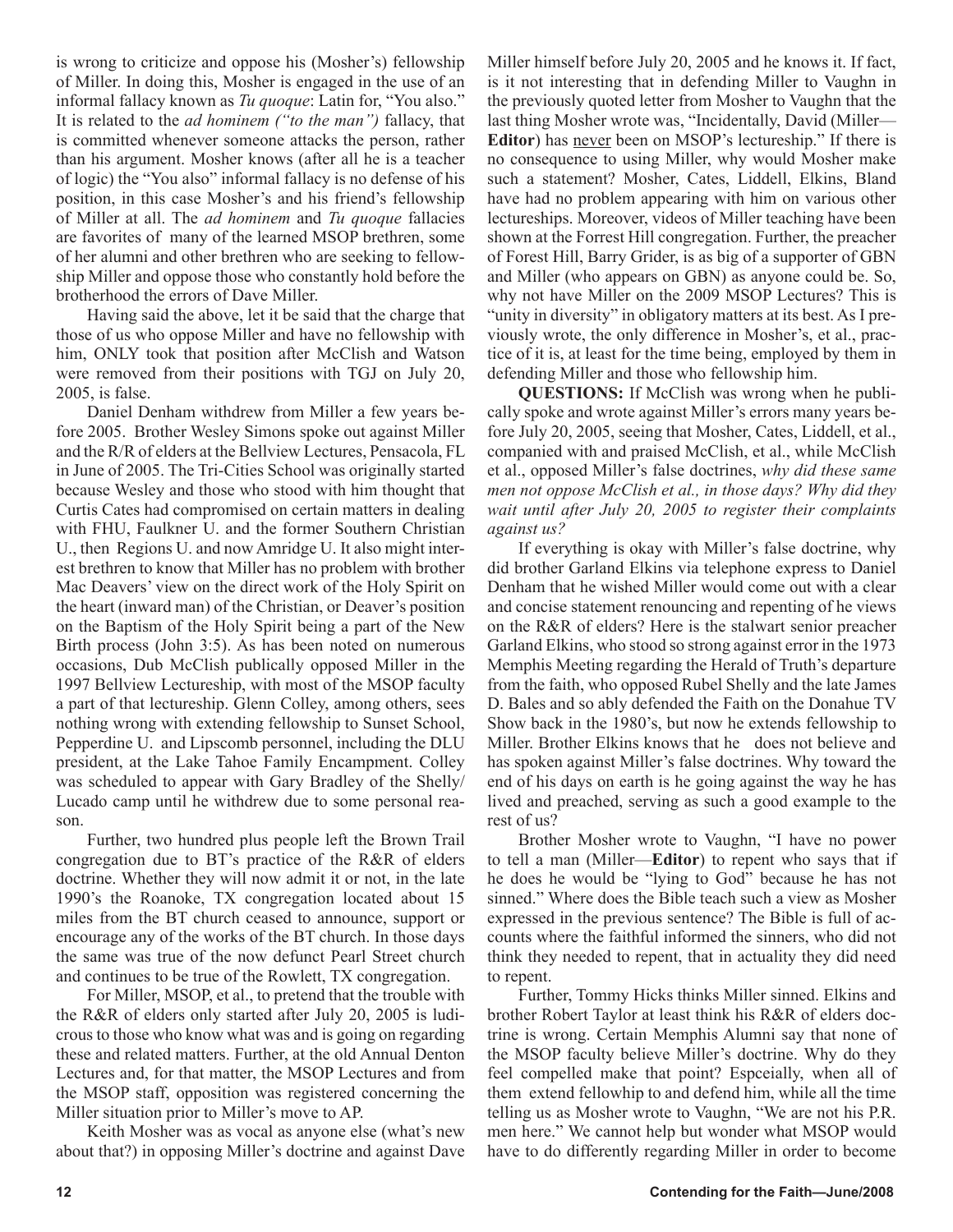is wrong to criticize and oppose his (Mosher's) fellowship of Miller. In doing this, Mosher is engaged in the use of an informal fallacy known as *Tu quoque*: Latin for, "You also." It is related to the *ad hominem ("to the man")* fallacy, that is committed whenever someone attacks the person, rather than his argument. Mosher knows (after all he is a teacher of logic) the "You also" informal fallacy is no defense of his position, in this case Mosher's and his friend's fellowship of Miller at all. The *ad hominem* and *Tu quoque* fallacies are favorites of many of the learned MSOP brethren, some of her alumni and other brethren who are seeking to fellowship Miller and oppose those who constantly hold before the brotherhood the errors of Dave Miller.

Having said the above, let it be said that the charge that those of us who oppose Miller and have no fellowship with him, ONLY took that position after McClish and Watson were removed from their positions with TGJ on July 20, 2005, is false.

Daniel Denham withdrew from Miller a few years before 2005. Brother Wesley Simons spoke out against Miller and the R/R of elders at the Bellview Lectures, Pensacola, FL in June of 2005. The Tri-Cities School was originally started because Wesley and those who stood with him thought that Curtis Cates had compromised on certain matters in dealing with FHU, Faulkner U. and the former Southern Christian U., then Regions U. and now Amridge U. It also might interest brethren to know that Miller has no problem with brother Mac Deavers' view on the direct work of the Holy Spirit on the heart (inward man) of the Christian, or Deaver's position on the Baptism of the Holy Spirit being a part of the New Birth process (John 3:5). As has been noted on numerous occasions, Dub McClish publically opposed Miller in the 1997 Bellview Lectureship, with most of the MSOP faculty a part of that lectureship. Glenn Colley, among others, sees nothing wrong with extending fellowship to Sunset School, Pepperdine U. and Lipscomb personnel, including the DLU president, at the Lake Tahoe Family Encampment. Colley was scheduled to appear with Gary Bradley of the Shelly/ Lucado camp until he withdrew due to some personal reason.

Further, two hundred plus people left the Brown Trail congregation due to BT's practice of the R&R of elders doctrine. Whether they will now admit it or not, in the late 1990's the Roanoke, TX congregation located about 15 miles from the BT church ceased to announce, support or encourage any of the works of the BT church. In those days the same was true of the now defunct Pearl Street church and continues to be true of the Rowlett, TX congregation.

For Miller, MSOP, et al., to pretend that the trouble with the R&R of elders only started after July 20, 2005 is ludicrous to those who know what was and is going on regarding these and related matters. Further, at the old Annual Denton Lectures and, for that matter, the MSOP Lectures and from the MSOP staff, opposition was registered concerning the Miller situation prior to Miller's move to AP.

Keith Mosher was as vocal as anyone else (what's new about that?) in opposing Miller's doctrine and against Dave Miller himself before July 20, 2005 and he knows it. If fact, is it not interesting that in defending Miller to Vaughn in the previously quoted letter from Mosher to Vaughn that the last thing Mosher wrote was, "Incidentally, David (Miller— **Editor**) has never been on MSOP's lectureship." If there is no consequence to using Miller, why would Mosher make such a statement? Mosher, Cates, Liddell, Elkins, Bland have had no problem appearing with him on various other lectureships. Moreover, videos of Miller teaching have been shown at the Forrest Hill congregation. Further, the preacher of Forest Hill, Barry Grider, is as big of a supporter of GBN and Miller (who appears on GBN) as anyone could be. So, why not have Miller on the 2009 MSOP Lectures? This is "unity in diversity" in obligatory matters at its best. As I previously wrote, the only difference in Mosher's, et al., practice of it is, at least for the time being, employed by them in defending Miller and those who fellowship him.

**QUESTIONS:** If McClish was wrong when he publically spoke and wrote against Miller's errors many years before July 20, 2005, seeing that Mosher, Cates, Liddell, et al., companied with and praised McClish, et al., while McClish et al., opposed Miller's false doctrines, *why did these same men not oppose McClish et al., in those days? Why did they wait until after July 20, 2005 to register their complaints against us?* 

If everything is okay with Miller's false doctrine, why did brother Garland Elkins via telephone express to Daniel Denham that he wished Miller would come out with a clear and concise statement renouncing and repenting of he views on the R&R of elders? Here is the stalwart senior preacher Garland Elkins, who stood so strong against error in the 1973 Memphis Meeting regarding the Herald of Truth's departure from the faith, who opposed Rubel Shelly and the late James D. Bales and so ably defended the Faith on the Donahue TV Show back in the 1980's, but now he extends fellowship to Miller. Brother Elkins knows that he does not believe and has spoken against Miller's false doctrines. Why toward the end of his days on earth is he going against the way he has lived and preached, serving as such a good example to the rest of us?

Brother Mosher wrote to Vaughn, "I have no power to tell a man (Miller—**Editor**) to repent who says that if he does he would be "lying to God" because he has not sinned." Where does the Bible teach such a view as Mosher expressed in the previous sentence? The Bible is full of accounts where the faithful informed the sinners, who did not think they needed to repent, that in actuality they did need to repent.

Further, Tommy Hicks thinks Miller sinned. Elkins and brother Robert Taylor at least think his R&R of elders doctrine is wrong. Certain Memphis Alumni say that none of the MSOP faculty believe Miller's doctrine. Why do they feel compelled make that point? Espceially, when all of them extend fellowhip to and defend him, while all the time telling us as Mosher wrote to Vaughn, "We are not his P.R. men here." We cannot help but wonder what MSOP would have to do differently regarding Miller in order to become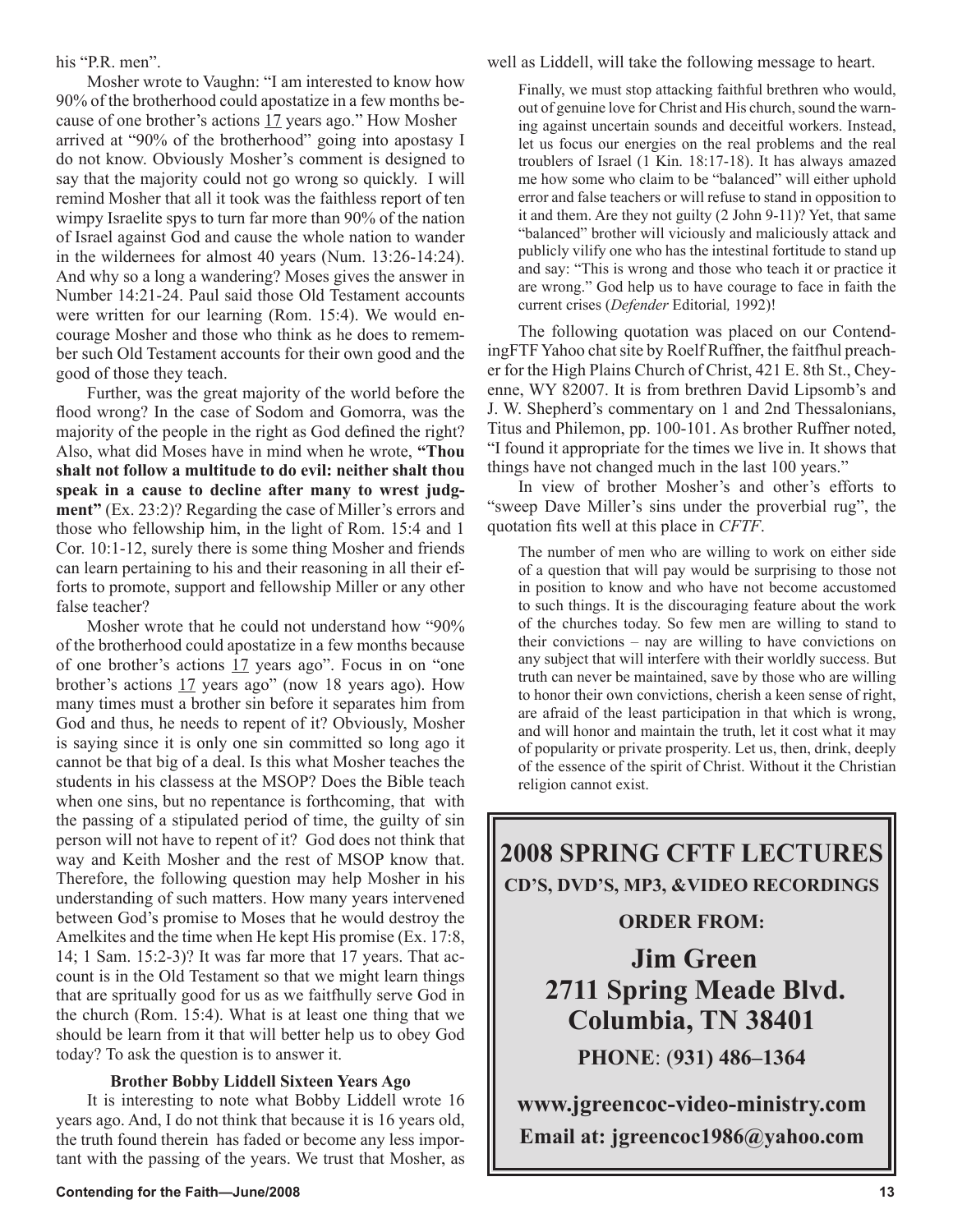his "P.R. men".

Mosher wrote to Vaughn: "I am interested to know how 90% of the brotherhood could apostatize in a few months because of one brother's actions 17 years ago." How Mosher arrived at "90% of the brotherhood" going into apostasy I do not know. Obviously Mosher's comment is designed to say that the majority could not go wrong so quickly. I will remind Mosher that all it took was the faithless report of ten wimpy Israelite spys to turn far more than 90% of the nation of Israel against God and cause the whole nation to wander in the wildernees for almost 40 years (Num. 13:26-14:24). And why so a long a wandering? Moses gives the answer in Number 14:21-24. Paul said those Old Testament accounts were written for our learning (Rom. 15:4). We would encourage Mosher and those who think as he does to remember such Old Testament accounts for their own good and the good of those they teach.

Further, was the great majority of the world before the flood wrong? In the case of Sodom and Gomorra, was the majority of the people in the right as God defined the right? Also, what did Moses have in mind when he wrote, **"Thou shalt not follow a multitude to do evil: neither shalt thou speak in a cause to decline after many to wrest judgment"** (Ex. 23:2)? Regarding the case of Miller's errors and those who fellowship him, in the light of Rom. 15:4 and 1 Cor. 10:1-12, surely there is some thing Mosher and friends can learn pertaining to his and their reasoning in all their efforts to promote, support and fellowship Miller or any other false teacher?

Mosher wrote that he could not understand how "90% of the brotherhood could apostatize in a few months because of one brother's actions 17 years ago". Focus in on "one brother's actions 17 years ago" (now 18 years ago). How many times must a brother sin before it separates him from God and thus, he needs to repent of it? Obviously, Mosher is saying since it is only one sin committed so long ago it cannot be that big of a deal. Is this what Mosher teaches the students in his classess at the MSOP? Does the Bible teach when one sins, but no repentance is forthcoming, that with the passing of a stipulated period of time, the guilty of sin person will not have to repent of it? God does not think that way and Keith Mosher and the rest of MSOP know that. Therefore, the following question may help Mosher in his understanding of such matters. How many years intervened between God's promise to Moses that he would destroy the Amelkites and the time when He kept His promise (Ex. 17:8, 14; 1 Sam. 15:2-3)? It was far more that 17 years. That account is in the Old Testament so that we might learn things that are spritually good for us as we faitfhully serve God in the church (Rom. 15:4). What is at least one thing that we should be learn from it that will better help us to obey God today? To ask the question is to answer it.

### **Brother Bobby Liddell Sixteen Years Ago**

It is interesting to note what Bobby Liddell wrote 16 years ago. And, I do not think that because it is 16 years old, the truth found therein has faded or become any less important with the passing of the years. We trust that Mosher, as well as Liddell, will take the following message to heart.

Finally, we must stop attacking faithful brethren who would, out of genuine love for Christ and His church, sound the warning against uncertain sounds and deceitful workers. Instead, let us focus our energies on the real problems and the real troublers of Israel (1 Kin. 18:17-18). It has always amazed me how some who claim to be "balanced" will either uphold error and false teachers or will refuse to stand in opposition to it and them. Are they not guilty (2 John 9-11)? Yet, that same "balanced" brother will viciously and maliciously attack and publicly vilify one who has the intestinal fortitude to stand up and say: "This is wrong and those who teach it or practice it are wrong." God help us to have courage to face in faith the current crises (*Defender* Editorial*,* 1992)!

The following quotation was placed on our ContendingFTF Yahoo chat site by Roelf Ruffner, the faitfhul preacher for the High Plains Church of Christ, 421 E. 8th St., Cheyenne, WY 82007. It is from brethren David Lipsomb's and J. W. Shepherd's commentary on 1 and 2nd Thessalonians, Titus and Philemon, pp. 100-101. As brother Ruffner noted, "I found it appropriate for the times we live in. It shows that things have not changed much in the last 100 years."

In view of brother Mosher's and other's efforts to "sweep Dave Miller's sins under the proverbial rug", the quotation fits well at this place in *CFTF*.

The number of men who are willing to work on either side of a question that will pay would be surprising to those not in position to know and who have not become accustomed to such things. It is the discouraging feature about the work of the churches today. So few men are willing to stand to their convictions – nay are willing to have convictions on any subject that will interfere with their worldly success. But truth can never be maintained, save by those who are willing to honor their own convictions, cherish a keen sense of right, are afraid of the least participation in that which is wrong, and will honor and maintain the truth, let it cost what it may of popularity or private prosperity. Let us, then, drink, deeply of the essence of the spirit of Christ. Without it the Christian religion cannot exist.

**2008 SPRING CFTF LECTURES CD'S, DVD'S, MP3, &VIDEO RECORDINGS** 

# **ORDER FROM:**

**Jim Green 2711 Spring Meade Blvd. Columbia, TN 38401 PHONE**: (**931) 486–1364**

**www.jgreencoc-video-ministry.com Email at: jgreencoc1986@yahoo.com**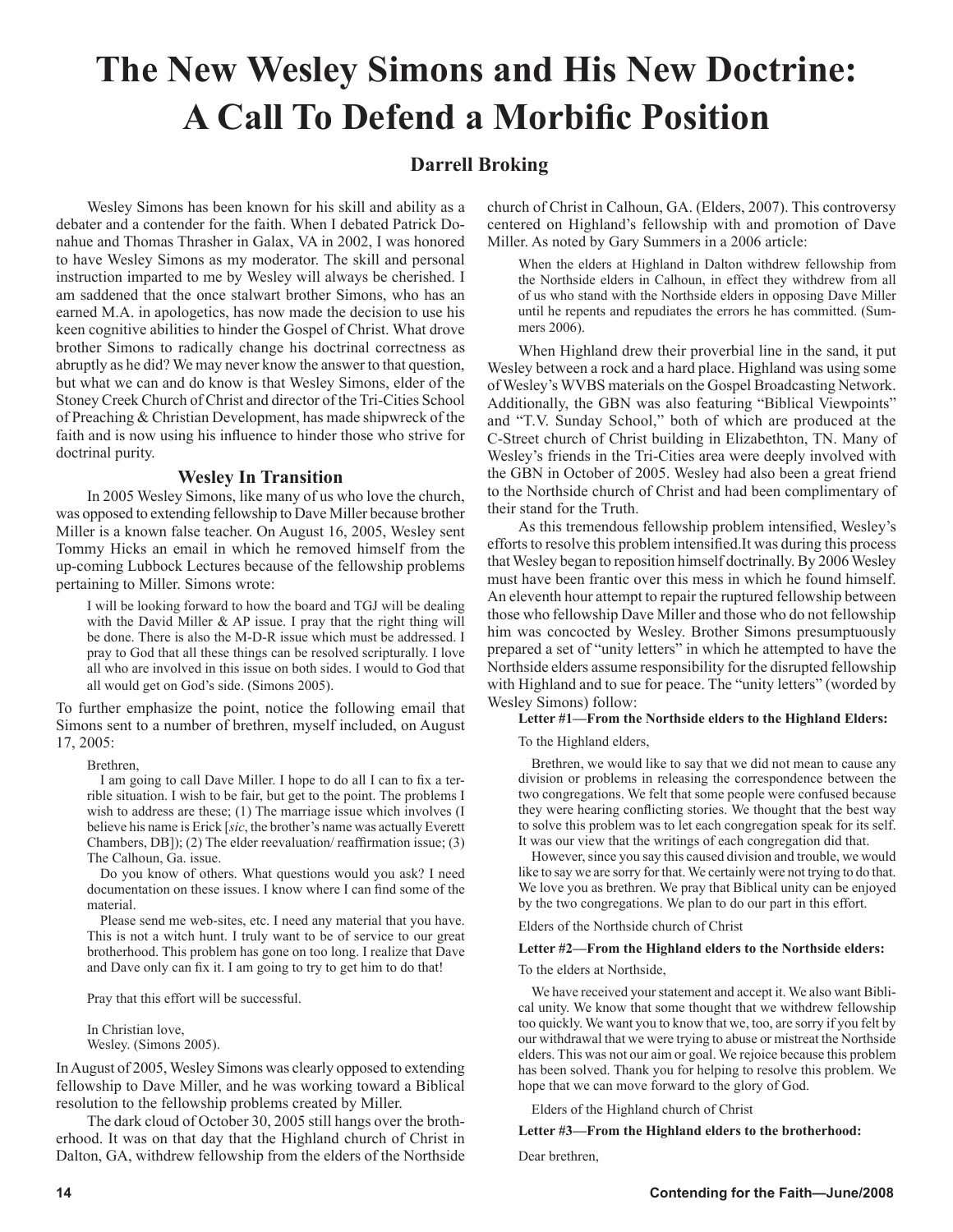# **The New Wesley Simons and His New Doctrine: A Call To Defend a Morbific Position**

# **Darrell Broking**

Wesley Simons has been known for his skill and ability as a debater and a contender for the faith. When I debated Patrick Donahue and Thomas Thrasher in Galax, VA in 2002, I was honored to have Wesley Simons as my moderator. The skill and personal instruction imparted to me by Wesley will always be cherished. I am saddened that the once stalwart brother Simons, who has an earned M.A. in apologetics, has now made the decision to use his keen cognitive abilities to hinder the Gospel of Christ. What drove brother Simons to radically change his doctrinal correctness as abruptly as he did? We may never know the answer to that question, but what we can and do know is that Wesley Simons, elder of the Stoney Creek Church of Christ and director of the Tri-Cities School of Preaching & Christian Development, has made shipwreck of the faith and is now using his influence to hinder those who strive for doctrinal purity.

### **Wesley In Transition**

In 2005 Wesley Simons, like many of us who love the church, was opposed to extending fellowship to Dave Miller because brother Miller is a known false teacher. On August 16, 2005, Wesley sent Tommy Hicks an email in which he removed himself from the up-coming Lubbock Lectures because of the fellowship problems pertaining to Miller. Simons wrote:

I will be looking forward to how the board and TGJ will be dealing with the David Miller & AP issue. I pray that the right thing will be done. There is also the M-D-R issue which must be addressed. I pray to God that all these things can be resolved scripturally. I love all who are involved in this issue on both sides. I would to God that all would get on God's side. (Simons 2005).

To further emphasize the point, notice the following email that Simons sent to a number of brethren, myself included, on August 17, 2005:

Brethren,

I am going to call Dave Miller. I hope to do all I can to fix a terrible situation. I wish to be fair, but get to the point. The problems I wish to address are these; (1) The marriage issue which involves (I believe his name is Erick [*sic*, the brother's name was actually Everett Chambers, DB]); (2) The elder reevaluation/ reaffirmation issue; (3) The Calhoun, Ga. issue.

Do you know of others. What questions would you ask? I need documentation on these issues. I know where I can find some of the material.

Please send me web-sites, etc. I need any material that you have. This is not a witch hunt. I truly want to be of service to our great brotherhood. This problem has gone on too long. I realize that Dave and Dave only can fix it. I am going to try to get him to do that!

Pray that this effort will be successful.

In Christian love, Wesley. (Simons 2005).

In August of 2005, Wesley Simons was clearly opposed to extending fellowship to Dave Miller, and he was working toward a Biblical resolution to the fellowship problems created by Miller.

The dark cloud of October 30, 2005 still hangs over the brotherhood. It was on that day that the Highland church of Christ in Dalton, GA, withdrew fellowship from the elders of the Northside church of Christ in Calhoun, GA. (Elders, 2007). This controversy centered on Highland's fellowship with and promotion of Dave Miller. As noted by Gary Summers in a 2006 article:

When the elders at Highland in Dalton withdrew fellowship from the Northside elders in Calhoun, in effect they withdrew from all of us who stand with the Northside elders in opposing Dave Miller until he repents and repudiates the errors he has committed. (Summers 2006).

When Highland drew their proverbial line in the sand, it put Wesley between a rock and a hard place. Highland was using some of Wesley's WVBS materials on the Gospel Broadcasting Network. Additionally, the GBN was also featuring "Biblical Viewpoints" and "T.V. Sunday School," both of which are produced at the C-Street church of Christ building in Elizabethton, TN. Many of Wesley's friends in the Tri-Cities area were deeply involved with the GBN in October of 2005. Wesley had also been a great friend to the Northside church of Christ and had been complimentary of their stand for the Truth.

As this tremendous fellowship problem intensified, Wesley's efforts to resolve this problem intensified.It was during this process that Wesley began to reposition himself doctrinally. By 2006 Wesley must have been frantic over this mess in which he found himself. An eleventh hour attempt to repair the ruptured fellowship between those who fellowship Dave Miller and those who do not fellowship him was concocted by Wesley. Brother Simons presumptuously prepared a set of "unity letters" in which he attempted to have the Northside elders assume responsibility for the disrupted fellowship with Highland and to sue for peace. The "unity letters" (worded by Wesley Simons) follow:

#### **Letter #1—From the Northside elders to the Highland Elders:**

To the Highland elders,

Brethren, we would like to say that we did not mean to cause any division or problems in releasing the correspondence between the two congregations. We felt that some people were confused because they were hearing conflicting stories. We thought that the best way to solve this problem was to let each congregation speak for its self. It was our view that the writings of each congregation did that.

However, since you say this caused division and trouble, we would like to say we are sorry for that. We certainly were not trying to do that. We love you as brethren. We pray that Biblical unity can be enjoyed by the two congregations. We plan to do our part in this effort.

Elders of the Northside church of Christ

#### **Letter #2—From the Highland elders to the Northside elders:**

To the elders at Northside,

We have received your statement and accept it. We also want Biblical unity. We know that some thought that we withdrew fellowship too quickly. We want you to know that we, too, are sorry if you felt by our withdrawal that we were trying to abuse or mistreat the Northside elders. This was not our aim or goal. We rejoice because this problem has been solved. Thank you for helping to resolve this problem. We hope that we can move forward to the glory of God.

Elders of the Highland church of Christ

**Letter #3—From the Highland elders to the brotherhood:**

Dear brethren,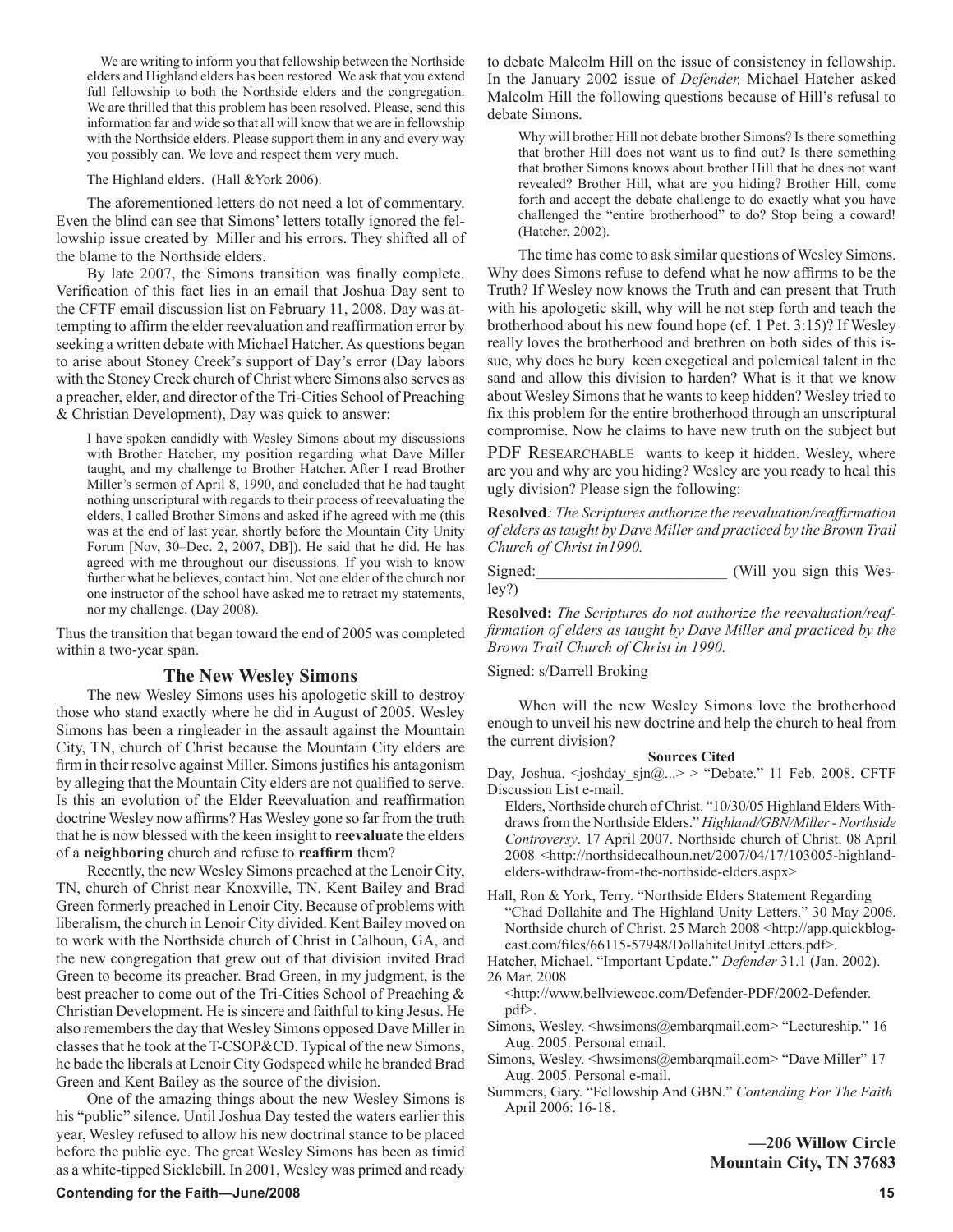We are writing to inform you that fellowship between the Northside elders and Highland elders has been restored. We ask that you extend full fellowship to both the Northside elders and the congregation. We are thrilled that this problem has been resolved. Please, send this information far and wide so that all will know that we are in fellowship with the Northside elders. Please support them in any and every way you possibly can. We love and respect them very much.

**Terry M. Hightower**

The Highland elders. (Hall &York 2006).

The aforementioned letters do not need a lot of commentary. Even the blind can see that Simons' letters totally ignored the fellowship issue created by Miller and his errors. They shifted all of the blame to the Northside elders.

By late 2007, the Simons transition was finally complete. Verification of this fact lies in an email that Joshua Day sent to the CFTF email discussion list on February 11, 2008. Day was attempting to affirm the elder reevaluation and reaffirmation error by seeking a written debate with Michael Hatcher. As questions began to arise about Stoney Creek's support of Day's error (Day labors with the Stoney Creek church of Christ where Simons also serves as a preacher, elder, and director of the Tri-Cities School of Preaching & Christian Development), Day was quick to answer:

I have spoken candidly with Wesley Simons about my discussions with Brother Hatcher, my position regarding what Dave Miller taught, and my challenge to Brother Hatcher. After I read Brother Miller's sermon of April 8, 1990, and concluded that he had taught nothing unscriptural with regards to their process of reevaluating the elders, I called Brother Simons and asked if he agreed with me (this was at the end of last year, shortly before the Mountain City Unity Forum [Nov, 30–Dec. 2, 2007, DB]). He said that he did. He has agreed with me throughout our discussions. If you wish to know further what he believes, contact him. Not one elder of the church nor one instructor of the school have asked me to retract my statements, nor my challenge. (Day 2008).

Thus the transition that began toward the end of 2005 was completed within a two-year span.

#### **The New Wesley Simons**

The new Wesley Simons uses his apologetic skill to destroy those who stand exactly where he did in August of 2005. Wesley Simons has been a ringleader in the assault against the Mountain City, TN, church of Christ because the Mountain City elders are firm in their resolve against Miller. Simons justifies his antagonism by alleging that the Mountain City elders are not qualified to serve. Is this an evolution of the Elder Reevaluation and reaffirmation doctrine Wesley now affirms? Has Wesley gone so far from the truth that he is now blessed with the keen insight to **reevaluate** the elders of a **neighboring** church and refuse to **reaffirm** them?

Recently, the new Wesley Simons preached at the Lenoir City, TN, church of Christ near Knoxville, TN. Kent Bailey and Brad Green formerly preached in Lenoir City. Because of problems with liberalism, the church in Lenoir City divided. Kent Bailey moved on to work with the Northside church of Christ in Calhoun, GA, and the new congregation that grew out of that division invited Brad Green to become its preacher. Brad Green, in my judgment, is the best preacher to come out of the Tri-Cities School of Preaching & Christian Development. He is sincere and faithful to king Jesus. He also remembers the day that Wesley Simons opposed Dave Miller in classes that he took at the T-CSOP&CD. Typical of the new Simons, he bade the liberals at Lenoir City Godspeed while he branded Brad Green and Kent Bailey as the source of the division.

One of the amazing things about the new Wesley Simons is his "public" silence. Until Joshua Day tested the waters earlier this year, Wesley refused to allow his new doctrinal stance to be placed before the public eye. The great Wesley Simons has been as timid as a white-tipped Sicklebill. In 2001, Wesley was primed and ready

to debate Malcolm Hill on the issue of consistency in fellowship. In the January 2002 issue of *Defender,* Michael Hatcher asked Malcolm Hill the following questions because of Hill's refusal to debate Simons.

Why will brother Hill not debate brother Simons? Is there something that brother Hill does not want us to find out? Is there something that brother Simons knows about brother Hill that he does not want revealed? Brother Hill, what are you hiding? Brother Hill, come forth and accept the debate challenge to do exactly what you have challenged the "entire brotherhood" to do? Stop being a coward! (Hatcher, 2002).

**Paul Vaughn**

The time has come to ask similar questions of Wesley Simons. Why does Simons refuse to defend what he now affirms to be the Truth? If Wesley now knows the Truth and can present that Truth with his apologetic skill, why will he not step forth and teach the brotherhood about his new found hope (cf. 1 Pet. 3:15)? If Wesley really loves the brotherhood and brethren on both sides of this issue, why does he bury keen exegetical and polemical talent in the sand and allow this division to harden? What is it that we know about Wesley Simons that he wants to keep hidden? Wesley tried to fix this problem for the entire brotherhood through an unscriptural compromise. Now he claims to have new truth on the subject but

PDF RESEARCHABLE wants to keep it hidden. Wesley, where are you and why are you hiding? Wesley are you ready to heal this ugly division? Please sign the following:

**Resolved***: The Scriptures authorize the reevaluation/reaffirmation of elders as taught by Dave Miller and practiced by the Brown Trail Church of Christ in1990.*

Signed:\_\_\_\_\_\_\_\_\_\_\_\_\_\_\_\_\_\_\_\_\_\_\_\_ (Will you sign this Wesley?)

**Resolved:** *The Scriptures do not authorize the reevaluation/reaffirmation of elders as taught by Dave Miller and practiced by the Brown Trail Church of Christ in 1990.*

#### Signed: s/Darrell Broking

When will the new Wesley Simons love the brotherhood enough to unveil his new doctrine and help the church to heal from the current division?

#### **Sources Cited**

Day, Joshua. < joshday sjn@...> > "Debate." 11 Feb. 2008. CFTF Discussion List e-mail.

- Elders, Northside church of Christ. "10/30/05 Highland Elders Withdraws from the Northside Elders." *Highland/GBN/Miller - Northside Controversy*. 17 April 2007. Northside church of Christ. 08 April 2008 <http://northsidecalhoun.net/2007/04/17/103005-highlandelders-withdraw-from-the-northside-elders.aspx>
- Hall, Ron & York, Terry. "Northside Elders Statement Regarding "Chad Dollahite and The Highland Unity Letters." 30 May 2006. Northside church of Christ. 25 March 2008 <http://app.quickblogcast.com/files/66115-57948/DollahiteUnityLetters.pdf>.
- Hatcher, Michael. "Important Update." *Defender* 31.1 (Jan. 2002). 26 Mar. 2008
- <http://www.bellviewcoc.com/Defender-PDF/2002-Defender. pdf>.
- Simons, Wesley. <hwsimons@embarqmail.com> "Lectureship." 16 Aug. 2005. Personal email.
- Simons, Wesley. <hwsimons@embarqmail.com> "Dave Miller" 17 Aug. 2005. Personal e-mail.
- Summers, Gary. "Fellowship And GBN." *Contending For The Faith* April 2006: 16-18.

**—206 Willow Circle Mountain City, TN 37683**

#### **Contending for the Faith—June/2008 15 and 2008 15 and 2008 15 and 2008 16 and 2008 16 and 2008 16 and 2008 16 and 2008 16 and 2008 16 and 2008 16 and 2008 16 and 2008 16 and 2008 16 and 2008 16 and 2008 16 and 2008 16 and**